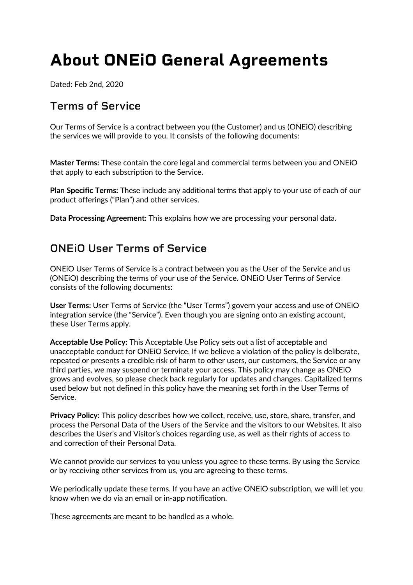# **About ONEiO General Agreements**

Dated: Feb 2nd, 2020

## **Terms of Service**

Our Terms of Service is a contract between you (the Customer) and us (ONEiO) describing the services we will provide to you. It consists of the following documents:

**Master Terms:** These contain the core legal and commercial terms between you and ONEiO that apply to each subscription to the Service.

**Plan Specific Terms:** These include any additional terms that apply to your use of each of our product offerings ("Plan") and other services.

**Data Processing Agreement:** This explains how we are processing your personal data.

### **ONEiO User Terms of Service**

ONEiO User Terms of Service is a contract between you as the User of the Service and us (ONEiO) describing the terms of your use of the Service. ONEiO User Terms of Service consists of the following documents:

**User Terms:** User Terms of Service (the "User Terms") govern your access and use of ONEiO integration service (the "Service"). Even though you are signing onto an existing account, these User Terms apply.

**Acceptable Use Policy:** This Acceptable Use Policy sets out a list of acceptable and unacceptable conduct for ONEiO Service. If we believe a violation of the policy is deliberate, repeated or presents a credible risk of harm to other users, our customers, the Service or any third parties, we may suspend or terminate your access. This policy may change as ONEiO grows and evolves, so please check back regularly for updates and changes. Capitalized terms used below but not defined in this policy have the meaning set forth in the User Terms of Service.

**Privacy Policy:** This policy describes how we collect, receive, use, store, share, transfer, and process the Personal Data of the Users of the Service and the visitors to our Websites. It also describes the User's and Visitor's choices regarding use, as well as their rights of access to and correction of their Personal Data.

We cannot provide our services to you unless you agree to these terms. By using the Service or by receiving other services from us, you are agreeing to these terms.

We periodically update these terms. If you have an active ONEIO subscription, we will let you know when we do via an email or in-app notification.

These agreements are meant to be handled as a whole.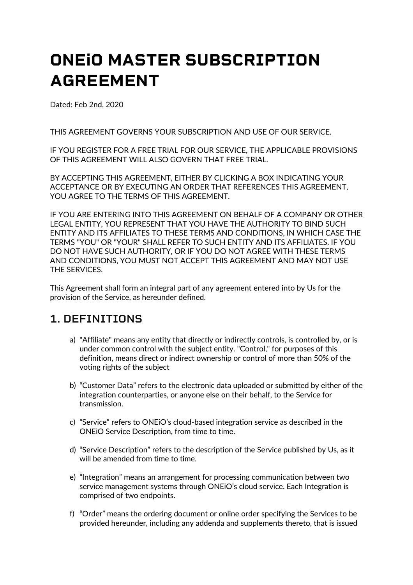# **ONEiO MASTER SUBSCRIPTION AGREEMENT**

Dated: Feb 2nd, 2020

THIS AGREEMENT GOVERNS YOUR SUBSCRIPTION AND USE OF OUR SERVICE.

IF YOU REGISTER FOR A FREE TRIAL FOR OUR SERVICE, THE APPLICABLE PROVISIONS OF THIS AGREEMENT WILL ALSO GOVERN THAT FREE TRIAL.

BY ACCEPTING THIS AGREEMENT, EITHER BY CLICKING A BOX INDICATING YOUR ACCEPTANCE OR BY EXECUTING AN ORDER THAT REFERENCES THIS AGREEMENT, YOU AGREE TO THE TERMS OF THIS AGREEMENT.

IF YOU ARE ENTERING INTO THIS AGREEMENT ON BEHALF OF A COMPANY OR OTHER LEGAL ENTITY, YOU REPRESENT THAT YOU HAVE THE AUTHORITY TO BIND SUCH ENTITY AND ITS AFFILIATES TO THESE TERMS AND CONDITIONS, IN WHICH CASE THE TERMS "YOU" OR "YOUR" SHALL REFER TO SUCH ENTITY AND ITS AFFILIATES. IF YOU DO NOT HAVE SUCH AUTHORITY, OR IF YOU DO NOT AGREE WITH THESE TERMS AND CONDITIONS, YOU MUST NOT ACCEPT THIS AGREEMENT AND MAY NOT USE THE SERVICES.

This Agreement shall form an integral part of any agreement entered into by Us for the provision of the Service, as hereunder defined.

### **1. DEFINITIONS**

- a) "Affiliate" means any entity that directly or indirectly controls, is controlled by, or is under common control with the subject entity. "Control," for purposes of this definition, means direct or indirect ownership or control of more than 50% of the voting rights of the subject
- b) "Customer Data" refers to the electronic data uploaded or submitted by either of the integration counterparties, or anyone else on their behalf, to the Service for transmission.
- c) "Service" refers to ONEiO's cloud-based integration service as described in the ONEiO Service Description, from time to time.
- d) "Service Description" refers to the description of the Service published by Us, as it will be amended from time to time.
- e) "Integration" means an arrangement for processing communication between two service management systems through ONEiO's cloud service. Each Integration is comprised of two endpoints.
- f) "Order" means the ordering document or online order specifying the Services to be provided hereunder, including any addenda and supplements thereto, that is issued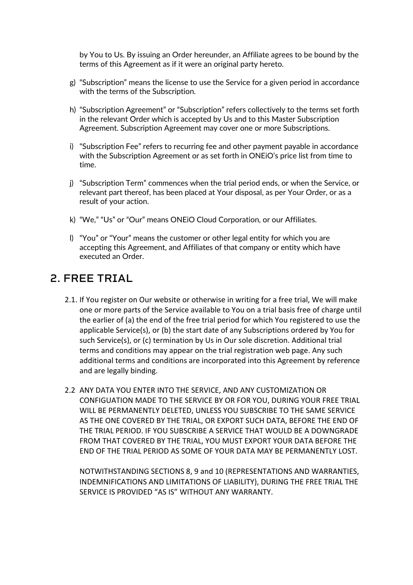by You to Us. By issuing an Order hereunder, an Affiliate agrees to be bound by the terms of this Agreement as if it were an original party hereto.

- g) "Subscription" means the license to use the Service for a given period in accordance with the terms of the Subscription.
- h) "Subscription Agreement" or "Subscription" refers collectively to the terms set forth in the relevant Order which is accepted by Us and to this Master Subscription Agreement. Subscription Agreement may cover one or more Subscriptions.
- i) "Subscription Fee" refers to recurring fee and other payment payable in accordance with the Subscription Agreement or as set forth in ONEiO's price list from time to time.
- j) "Subscription Term" commences when the trial period ends, or when the Service, or relevant part thereof, has been placed at Your disposal, as per Your Order, or as a result of your action.
- k) "We," "Us" or "Our" means ONEiO Cloud Corporation, or our Affiliates.
- l) "You" or "Your" means the customer or other legal entity for which you are accepting this Agreement, and Affiliates of that company or entity which have executed an Order.

### **2. FREE TRIAL**

- 2.1. If You register on Our website or otherwise in writing for a free trial, We will make one or more parts of the Service available to You on a trial basis free of charge until the earlier of (a) the end of the free trial period for which You registered to use the applicable Service(s), or (b) the start date of any Subscriptions ordered by You for such Service(s), or (c) termination by Us in Our sole discretion. Additional trial terms and conditions may appear on the trial registration web page. Any such additional terms and conditions are incorporated into this Agreement by reference and are legally binding.
- 2.2 ANY DATA YOU ENTER INTO THE SERVICE, AND ANY CUSTOMIZATION OR CONFIGUATION MADE TO THE SERVICE BY OR FOR YOU, DURING YOUR FREE TRIAL WILL BE PERMANENTLY DELETED, UNLESS YOU SUBSCRIBE TO THE SAME SERVICE AS THE ONE COVERED BY THE TRIAL, OR EXPORT SUCH DATA, BEFORE THE END OF THE TRIAL PERIOD. IF YOU SUBSCRIBE A SERVICE THAT WOULD BE A DOWNGRADE FROM THAT COVERED BY THE TRIAL, YOU MUST EXPORT YOUR DATA BEFORE THE END OF THE TRIAL PERIOD AS SOME OF YOUR DATA MAY BE PERMANENTLY LOST.

NOTWITHSTANDING SECTIONS 8, 9 and 10 (REPRESENTATIONS AND WARRANTIES, INDEMNIFICATIONS AND LIMITATIONS OF LIABILITY), DURING THE FREE TRIAL THE SERVICE IS PROVIDED "AS IS" WITHOUT ANY WARRANTY.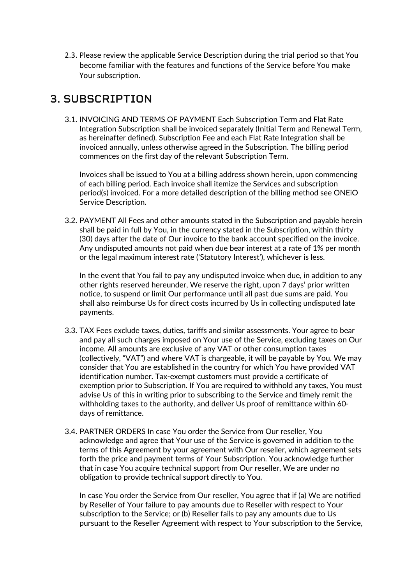2.3. Please review the applicable Service Description during the trial period so that You become familiar with the features and functions of the Service before You make Your subscription.

# **3. SUBSCRIPTION**

3.1. INVOICING AND TERMS OF PAYMENT Each Subscription Term and Flat Rate Integration Subscription shall be invoiced separately (Initial Term and Renewal Term, as hereinafter defined). Subscription Fee and each Flat Rate Integration shall be invoiced annually, unless otherwise agreed in the Subscription. The billing period commences on the first day of the relevant Subscription Term.

Invoices shall be issued to You at a billing address shown herein, upon commencing of each billing period. Each invoice shall itemize the Services and subscription period(s) invoiced. For a more detailed description of the billing method see ONEiO Service Description.

3.2. PAYMENT All Fees and other amounts stated in the Subscription and payable herein shall be paid in full by You, in the currency stated in the Subscription, within thirty (30) days after the date of Our invoice to the bank account specified on the invoice. Any undisputed amounts not paid when due bear interest at a rate of 1% per month or the legal maximum interest rate ('Statutory Interest'), whichever is less.

In the event that You fail to pay any undisputed invoice when due, in addition to any other rights reserved hereunder, We reserve the right, upon 7 days' prior written notice, to suspend or limit Our performance until all past due sums are paid. You shall also reimburse Us for direct costs incurred by Us in collecting undisputed late payments.

- 3.3. TAX Fees exclude taxes, duties, tariffs and similar assessments. Your agree to bear and pay all such charges imposed on Your use of the Service, excluding taxes on Our income. All amounts are exclusive of any VAT or other consumption taxes (collectively, "VAT") and where VAT is chargeable, it will be payable by You. We may consider that You are established in the country for which You have provided VAT identification number. Tax-exempt customers must provide a certificate of exemption prior to Subscription. If You are required to withhold any taxes, You must advise Us of this in writing prior to subscribing to the Service and timely remit the withholding taxes to the authority, and deliver Us proof of remittance within 60 days of remittance.
- 3.4. PARTNER ORDERS In case You order the Service from Our reseller, You acknowledge and agree that Your use of the Service is governed in addition to the terms of this Agreement by your agreement with Our reseller, which agreement sets forth the price and payment terms of Your Subscription. You acknowledge further that in case You acquire technical support from Our reseller, We are under no obligation to provide technical support directly to You.

In case You order the Service from Our reseller, You agree that if (a) We are notified by Reseller of Your failure to pay amounts due to Reseller with respect to Your subscription to the Service; or (b) Reseller fails to pay any amounts due to Us pursuant to the Reseller Agreement with respect to Your subscription to the Service,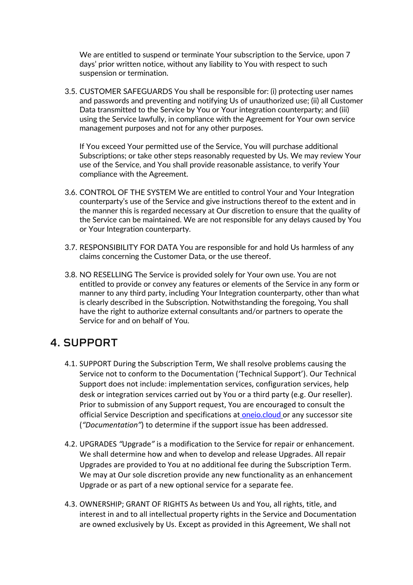We are entitled to suspend or terminate Your subscription to the Service, upon 7 days' prior written notice, without any liability to You with respect to such suspension or termination.

3.5. CUSTOMER SAFEGUARDS You shall be responsible for: (i) protecting user names and passwords and preventing and notifying Us of unauthorized use; (ii) all Customer Data transmitted to the Service by You or Your integration counterparty; and (iii) using the Service lawfully, in compliance with the Agreement for Your own service management purposes and not for any other purposes.

If You exceed Your permitted use of the Service, You will purchase additional Subscriptions; or take other steps reasonably requested by Us. We may review Your use of the Service, and You shall provide reasonable assistance, to verify Your compliance with the Agreement.

- 3.6. CONTROL OF THE SYSTEM We are entitled to control Your and Your Integration counterparty's use of the Service and give instructions thereof to the extent and in the manner this is regarded necessary at Our discretion to ensure that the quality of the Service can be maintained. We are not responsible for any delays caused by You or Your Integration counterparty.
- 3.7. RESPONSIBILITY FOR DATA You are responsible for and hold Us harmless of any claims concerning the Customer Data, or the use thereof.
- 3.8. NO RESELLING The Service is provided solely for Your own use. You are not entitled to provide or convey any features or elements of the Service in any form or manner to any third party, including Your Integration counterparty, other than what is clearly described in the Subscription. Notwithstanding the foregoing, You shall have the right to authorize external consultants and/or partners to operate the Service for and on behalf of You.

### **4. SUPPORT**

- 4.1. SUPPORT During the Subscription Term, We shall resolve problems causing the Service not to conform to the Documentation ('Technical Support'). Our Technical Support does not include: implementation services, configuration services, help desk or integration services carried out by You or a third party (e.g. Our reseller). Prior to submission of any Support request, You are encouraged to consult the official Service Description and specifications at oneio.cloud or any successor site (*"Documentation"*) to determine if the support issue has been addressed.
- 4.2. UPGRADES *"*Upgrade*"* is a modification to the Service for repair or enhancement. We shall determine how and when to develop and release Upgrades. All repair Upgrades are provided to You at no additional fee during the Subscription Term. We may at Our sole discretion provide any new functionality as an enhancement Upgrade or as part of a new optional service for a separate fee.
- 4.3. OWNERSHIP; GRANT OF RIGHTS As between Us and You, all rights, title, and interest in and to all intellectual property rights in the Service and Documentation are owned exclusively by Us. Except as provided in this Agreement, We shall not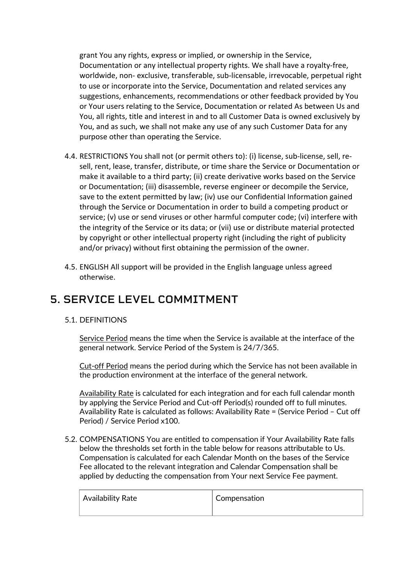grant You any rights, express or implied, or ownership in the Service, Documentation or any intellectual property rights. We shall have a royalty-free, worldwide, non- exclusive, transferable, sub-licensable, irrevocable, perpetual right to use or incorporate into the Service, Documentation and related services any suggestions, enhancements, recommendations or other feedback provided by You or Your users relating to the Service, Documentation or related As between Us and You, all rights, title and interest in and to all Customer Data is owned exclusively by You, and as such, we shall not make any use of any such Customer Data for any purpose other than operating the Service.

- 4.4. RESTRICTIONS You shall not (or permit others to): (i) license, sub-license, sell, resell, rent, lease, transfer, distribute, or time share the Service or Documentation or make it available to a third party; (ii) create derivative works based on the Service or Documentation; (iii) disassemble, reverse engineer or decompile the Service, save to the extent permitted by law; (iv) use our Confidential Information gained through the Service or Documentation in order to build a competing product or service; (v) use or send viruses or other harmful computer code; (vi) interfere with the integrity of the Service or its data; or (vii) use or distribute material protected by copyright or other intellectual property right (including the right of publicity and/or privacy) without first obtaining the permission of the owner.
- 4.5. ENGLISH All support will be provided in the English language unless agreed otherwise.

### **5. SERVICE LEVEL COMMITMENT**

#### 5.1. DEFINITIONS

Service Period means the time when the Service is available at the interface of the general network. Service Period of the System is 24/7/365.

Cut-off Period means the period during which the Service has not been available in the production environment at the interface of the general network.

Availability Rate is calculated for each integration and for each full calendar month by applying the Service Period and Cut-off Period(s) rounded off to full minutes. Availability Rate is calculated as follows: Availability Rate = (Service Period – Cut off Period) / Service Period x100.

5.2. COMPENSATIONS You are entitled to compensation if Your Availability Rate falls below the thresholds set forth in the table below for reasons attributable to Us. Compensation is calculated for each Calendar Month on the bases of the Service Fee allocated to the relevant integration and Calendar Compensation shall be applied by deducting the compensation from Your next Service Fee payment.

| Availability Rate | Compensation |
|-------------------|--------------|
|                   |              |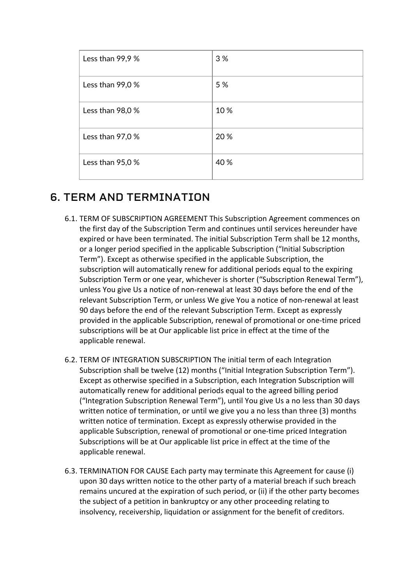| Less than $99,9%$ | 3 %  |
|-------------------|------|
| Less than $99,0%$ | 5 %  |
| Less than $98,0%$ | 10%  |
| Less than $97,0%$ | 20 % |
| Less than $95,0%$ | 40 % |

# **6. TERM AND TERMINATION**

- 6.1. TERM OF SUBSCRIPTION AGREEMENT This Subscription Agreement commences on the first day of the Subscription Term and continues until services hereunder have expired or have been terminated. The initial Subscription Term shall be 12 months, or a longer period specified in the applicable Subscription ("Initial Subscription Term"). Except as otherwise specified in the applicable Subscription, the subscription will automatically renew for additional periods equal to the expiring Subscription Term or one year, whichever is shorter ("Subscription Renewal Term"), unless You give Us a notice of non-renewal at least 30 days before the end of the relevant Subscription Term, or unless We give You a notice of non-renewal at least 90 days before the end of the relevant Subscription Term. Except as expressly provided in the applicable Subscription, renewal of promotional or one-time priced subscriptions will be at Our applicable list price in effect at the time of the applicable renewal.
- 6.2. TERM OF INTEGRATION SUBSCRIPTION The initial term of each Integration Subscription shall be twelve (12) months ("Initial Integration Subscription Term"). Except as otherwise specified in a Subscription, each Integration Subscription will automatically renew for additional periods equal to the agreed billing period ("Integration Subscription Renewal Term"), until You give Us a no less than 30 days written notice of termination, or until we give you a no less than three (3) months written notice of termination. Except as expressly otherwise provided in the applicable Subscription, renewal of promotional or one-time priced Integration Subscriptions will be at Our applicable list price in effect at the time of the applicable renewal.
- 6.3. TERMINATION FOR CAUSE Each party may terminate this Agreement for cause (i) upon 30 days written notice to the other party of a material breach if such breach remains uncured at the expiration of such period, or (ii) if the other party becomes the subject of a petition in bankruptcy or any other proceeding relating to insolvency, receivership, liquidation or assignment for the benefit of creditors.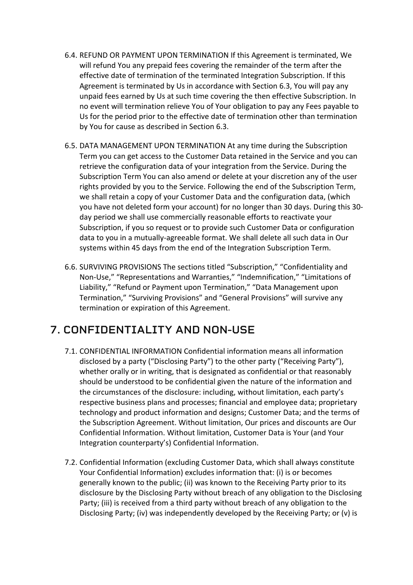- 6.4. REFUND OR PAYMENT UPON TERMINATION If this Agreement is terminated, We will refund You any prepaid fees covering the remainder of the term after the effective date of termination of the terminated Integration Subscription. If this Agreement is terminated by Us in accordance with Section 6.3, You will pay any unpaid fees earned by Us at such time covering the then effective Subscription. In no event will termination relieve You of Your obligation to pay any Fees payable to Us for the period prior to the effective date of termination other than termination by You for cause as described in Section 6.3.
- 6.5. DATA MANAGEMENT UPON TERMINATION At any time during the Subscription Term you can get access to the Customer Data retained in the Service and you can retrieve the configuration data of your integration from the Service. During the Subscription Term You can also amend or delete at your discretion any of the user rights provided by you to the Service. Following the end of the Subscription Term, we shall retain a copy of your Customer Data and the configuration data, (which you have not deleted form your account) for no longer than 30 days. During this 30 day period we shall use commercially reasonable efforts to reactivate your Subscription, if you so request or to provide such Customer Data or configuration data to you in a mutually-agreeable format. We shall delete all such data in Our systems within 45 days from the end of the Integration Subscription Term.
- 6.6. SURVIVING PROVISIONS The sections titled "Subscription," "Confidentiality and Non-Use," "Representations and Warranties," "Indemnification," "Limitations of Liability," "Refund or Payment upon Termination," "Data Management upon Termination," "Surviving Provisions" and "General Provisions" will survive any termination or expiration of this Agreement.

# **7. CONFIDENTIALITY AND NON-USE**

- 7.1. CONFIDENTIAL INFORMATION Confidential information means all information disclosed by a party ("Disclosing Party") to the other party ("Receiving Party"), whether orally or in writing, that is designated as confidential or that reasonably should be understood to be confidential given the nature of the information and the circumstances of the disclosure: including, without limitation, each party's respective business plans and processes; financial and employee data; proprietary technology and product information and designs; Customer Data; and the terms of the Subscription Agreement. Without limitation, Our prices and discounts are Our Confidential Information. Without limitation, Customer Data is Your (and Your Integration counterparty's) Confidential Information.
- 7.2. Confidential Information (excluding Customer Data, which shall always constitute Your Confidential Information) excludes information that: (i) is or becomes generally known to the public; (ii) was known to the Receiving Party prior to its disclosure by the Disclosing Party without breach of any obligation to the Disclosing Party; (iii) is received from a third party without breach of any obligation to the Disclosing Party; (iv) was independently developed by the Receiving Party; or (v) is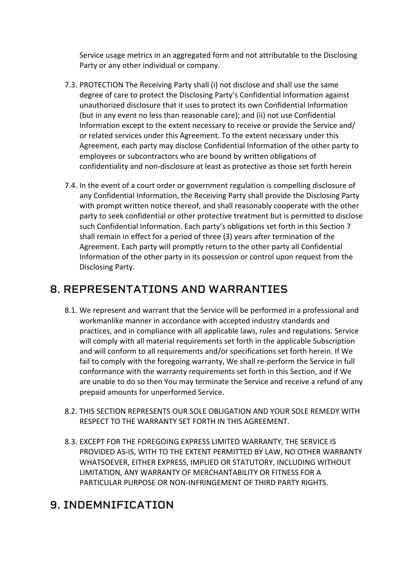Service usage metrics in an aggregated form and not attributable to the Disclosing Party or any other individual or company.

- 7.3. PROTECTION The Receiving Party shall (i) not disclose and shall use the same degree of care to protect the Disclosing Party's Confidential Information against unauthorized disclosure that it uses to protect its own Confidential Information (but in any event no less than reasonable care); and (ii) not use Confidential Information except to the extent necessary to receive or provide the Service and/ or related services under this Agreement. To the extent necessary under this Agreement, each party may disclose Confidential Information of the other party to employees or subcontractors who are bound by written obligations of confidentiality and non-disclosure at least as protective as those set forth herein
- 7.4. In the event of a court order or government regulation is compelling disclosure of any Confidential Information, the Receiving Party shall provide the Disclosing Party with prompt written notice thereof, and shall reasonably cooperate with the other party to seek confidential or other protective treatment but is permitted to disclose such Confidential Information. Each party's obligations set forth in this Section 7 shall remain in effect for a period of three (3) years after termination of the Agreement. Each party will promptly return to the other party all Confidential Information of the other party in its possession or control upon request from the Disclosing Party.

# **8. REPRESENTATIONS AND WARRANTIES**

- 8.1. We represent and warrant that the Service will be performed in a professional and workmanlike manner in accordance with accepted industry standards and practices, and in compliance with all applicable laws, rules and regulations. Service will comply with all material requirements set forth in the applicable Subscription and will conform to all requirements and/or specifications set forth herein. If We fail to comply with the foregoing warranty, We shall re-perform the Service in full conformance with the warranty requirements set forth in this Section, and if We are unable to do so then You may terminate the Service and receive a refund of any prepaid amounts for unperformed Service.
- 8.2. THIS SECTION REPRESENTS OUR SOLE OBLIGATION AND YOUR SOLE REMEDY WITH RESPECT TO THE WARRANTY SET FORTH IN THIS AGREEMENT.
- 8.3. EXCEPT FOR THE FOREGOING EXPRESS LIMITED WARRANTY, THE SERVICE IS PROVIDED AS-IS, WITH TO THE EXTENT PERMITTED BY LAW, NO OTHER WARRANTY WHATSOEVER, EITHER EXPRESS, IMPLIED OR STATUTORY, INCLUDING WITHOUT LIMITATION, ANY WARRANTY OF MERCHANTABILITY OR FITNESS FOR A PARTICULAR PURPOSE OR NON-INFRINGEMENT OF THIRD PARTY RIGHTS.

# **9. INDEMNIFICATION**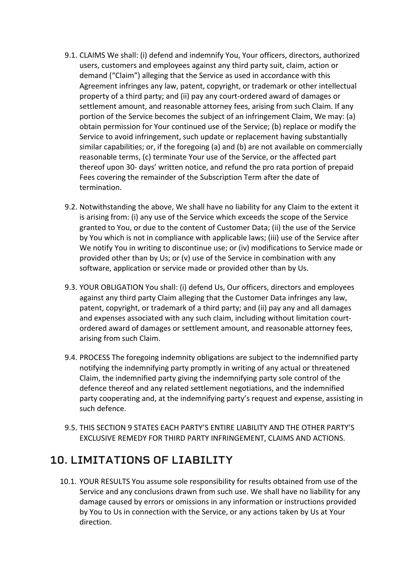- 9.1. CLAIMS We shall: (i) defend and indemnify You, Your officers, directors, authorized users, customers and employees against any third party suit, claim, action or demand ("Claim") alleging that the Service as used in accordance with this Agreement infringes any law, patent, copyright, or trademark or other intellectual property of a third party; and (ii) pay any court-ordered award of damages or settlement amount, and reasonable attorney fees, arising from such Claim. If any portion of the Service becomes the subject of an infringement Claim, We may: (a) obtain permission for Your continued use of the Service; (b) replace or modify the Service to avoid infringement, such update or replacement having substantially similar capabilities; or, if the foregoing (a) and (b) are not available on commercially reasonable terms, (c) terminate Your use of the Service, or the affected part thereof upon 30- days' written notice, and refund the pro rata portion of prepaid Fees covering the remainder of the Subscription Term after the date of termination.
- 9.2. Notwithstanding the above, We shall have no liability for any Claim to the extent it is arising from: (i) any use of the Service which exceeds the scope of the Service granted to You, or due to the content of Customer Data; (ii) the use of the Service by You which is not in compliance with applicable laws; (iii) use of the Service after We notify You in writing to discontinue use; or (iv) modifications to Service made or provided other than by Us; or (v) use of the Service in combination with any software, application or service made or provided other than by Us.
- 9.3. YOUR OBLIGATION You shall: (i) defend Us, Our officers, directors and employees against any third party Claim alleging that the Customer Data infringes any law, patent, copyright, or trademark of a third party; and (ii) pay any and all damages and expenses associated with any such claim, including without limitation courtordered award of damages or settlement amount, and reasonable attorney fees, arising from such Claim.
- 9.4. PROCESS The foregoing indemnity obligations are subject to the indemnified party notifying the indemnifying party promptly in writing of any actual or threatened Claim, the indemnified party giving the indemnifying party sole control of the defence thereof and any related settlement negotiations, and the indemnified party cooperating and, at the indemnifying party's request and expense, assisting in such defence.
- 9.5. THIS SECTION 9 STATES EACH PARTY'S ENTIRE LIABILITY AND THE OTHER PARTY'S EXCLUSIVE REMEDY FOR THIRD PARTY INFRINGEMENT, CLAIMS AND ACTIONS.

# **10. LIMITATIONS OF LIABILITY**

10.1. YOUR RESULTS You assume sole responsibility for results obtained from use of the Service and any conclusions drawn from such use. We shall have no liability for any damage caused by errors or omissions in any information or instructions provided by You to Us in connection with the Service, or any actions taken by Us at Your direction.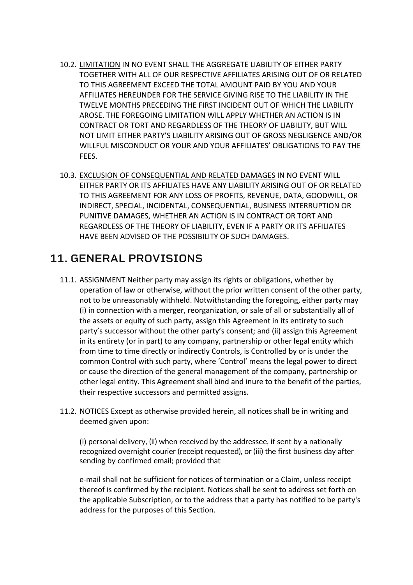- 10.2. LIMITATION IN NO EVENT SHALL THE AGGREGATE LIABILITY OF EITHER PARTY TOGETHER WITH ALL OF OUR RESPECTIVE AFFILIATES ARISING OUT OF OR RELATED TO THIS AGREEMENT EXCEED THE TOTAL AMOUNT PAID BY YOU AND YOUR AFFILIATES HEREUNDER FOR THE SERVICE GIVING RISE TO THE LIABILITY IN THE TWELVE MONTHS PRECEDING THE FIRST INCIDENT OUT OF WHICH THE LIABILITY AROSE. THE FOREGOING LIMITATION WILL APPLY WHETHER AN ACTION IS IN CONTRACT OR TORT AND REGARDLESS OF THE THEORY OF LIABILITY, BUT WILL NOT LIMIT EITHER PARTY'S LIABILITY ARISING OUT OF GROSS NEGLIGENCE AND/OR WILLFUL MISCONDUCT OR YOUR AND YOUR AFFILIATES' OBLIGATIONS TO PAY THE FEES.
- 10.3. EXCLUSION OF CONSEQUENTIAL AND RELATED DAMAGES IN NO EVENT WILL EITHER PARTY OR ITS AFFILIATES HAVE ANY LIABILITY ARISING OUT OF OR RELATED TO THIS AGREEMENT FOR ANY LOSS OF PROFITS, REVENUE, DATA, GOODWILL, OR INDIRECT, SPECIAL, INCIDENTAL, CONSEQUENTIAL, BUSINESS INTERRUPTION OR PUNITIVE DAMAGES, WHETHER AN ACTION IS IN CONTRACT OR TORT AND REGARDLESS OF THE THEORY OF LIABILITY, EVEN IF A PARTY OR ITS AFFILIATES HAVE BEEN ADVISED OF THE POSSIBILITY OF SUCH DAMAGES.

# **11. GENERAL PROVISIONS**

- 11.1. ASSIGNMENT Neither party may assign its rights or obligations, whether by operation of law or otherwise, without the prior written consent of the other party, not to be unreasonably withheld. Notwithstanding the foregoing, either party may (i) in connection with a merger, reorganization, or sale of all or substantially all of the assets or equity of such party, assign this Agreement in its entirety to such party's successor without the other party's consent; and (ii) assign this Agreement in its entirety (or in part) to any company, partnership or other legal entity which from time to time directly or indirectly Controls, is Controlled by or is under the common Control with such party, where 'Control' means the legal power to direct or cause the direction of the general management of the company, partnership or other legal entity. This Agreement shall bind and inure to the benefit of the parties, their respective successors and permitted assigns.
- 11.2. NOTICES Except as otherwise provided herein, all notices shall be in writing and deemed given upon:

(i) personal delivery, (ii) when received by the addressee, if sent by a nationally recognized overnight courier (receipt requested), or (iii) the first business day after sending by confirmed email; provided that

e-mail shall not be sufficient for notices of termination or a Claim, unless receipt thereof is confirmed by the recipient. Notices shall be sent to address set forth on the applicable Subscription, or to the address that a party has notified to be party's address for the purposes of this Section.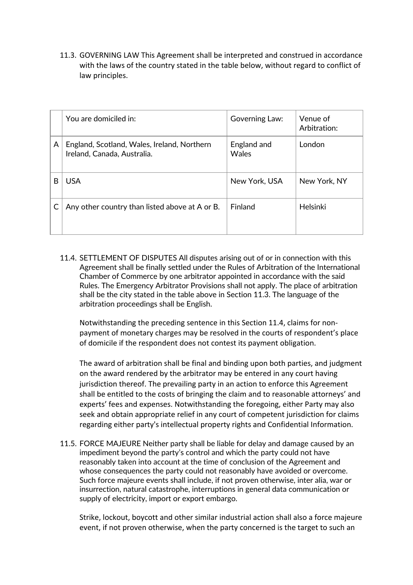11.3. GOVERNING LAW This Agreement shall be interpreted and construed in accordance with the laws of the country stated in the table below, without regard to conflict of law principles.

|   | You are domiciled in:                                                      | Governing Law:       | Venue of<br>Arbitration: |
|---|----------------------------------------------------------------------------|----------------------|--------------------------|
| A | England, Scotland, Wales, Ireland, Northern<br>Ireland, Canada, Australia. | England and<br>Wales | London                   |
| B | <b>USA</b>                                                                 | New York, USA        | New York, NY             |
|   | Any other country than listed above at A or B.                             | Finland              | Helsinki                 |

11.4. SETTLEMENT OF DISPUTES All disputes arising out of or in connection with this Agreement shall be finally settled under the Rules of Arbitration of the International Chamber of Commerce by one arbitrator appointed in accordance with the said Rules. The Emergency Arbitrator Provisions shall not apply. The place of arbitration shall be the city stated in the table above in Section 11.3. The language of the arbitration proceedings shall be English.

Notwithstanding the preceding sentence in this Section 11.4, claims for nonpayment of monetary charges may be resolved in the courts of respondent's place of domicile if the respondent does not contest its payment obligation.

The award of arbitration shall be final and binding upon both parties, and judgment on the award rendered by the arbitrator may be entered in any court having jurisdiction thereof. The prevailing party in an action to enforce this Agreement shall be entitled to the costs of bringing the claim and to reasonable attorneys' and experts' fees and expenses. Notwithstanding the foregoing, either Party may also seek and obtain appropriate relief in any court of competent jurisdiction for claims regarding either party's intellectual property rights and Confidential Information.

11.5. FORCE MAJEURE Neither party shall be liable for delay and damage caused by an impediment beyond the party's control and which the party could not have reasonably taken into account at the time of conclusion of the Agreement and whose consequences the party could not reasonably have avoided or overcome. Such force majeure events shall include, if not proven otherwise, inter alia, war or insurrection, natural catastrophe, interruptions in general data communication or supply of electricity, import or export embargo.

Strike, lockout, boycott and other similar industrial action shall also a force majeure event, if not proven otherwise, when the party concerned is the target to such an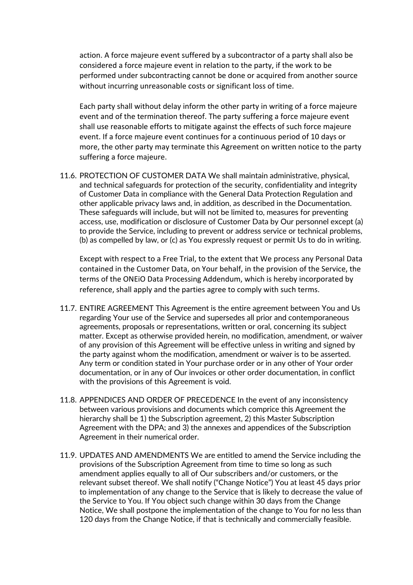action. A force majeure event suffered by a subcontractor of a party shall also be considered a force majeure event in relation to the party, if the work to be performed under subcontracting cannot be done or acquired from another source without incurring unreasonable costs or significant loss of time.

Each party shall without delay inform the other party in writing of a force majeure event and of the termination thereof. The party suffering a force majeure event shall use reasonable efforts to mitigate against the effects of such force majeure event. If a force majeure event continues for a continuous period of 10 days or more, the other party may terminate this Agreement on written notice to the party suffering a force majeure.

11.6. PROTECTION OF CUSTOMER DATA We shall maintain administrative, physical, and technical safeguards for protection of the security, confidentiality and integrity of Customer Data in compliance with the General Data Protection Regulation and other applicable privacy laws and, in addition, as described in the Documentation. These safeguards will include, but will not be limited to, measures for preventing access, use, modification or disclosure of Customer Data by Our personnel except (a) to provide the Service, including to prevent or address service or technical problems, (b) as compelled by law, or (c) as You expressly request or permit Us to do in writing.

Except with respect to a Free Trial, to the extent that We process any Personal Data contained in the Customer Data, on Your behalf, in the provision of the Service, the terms of the ONEiO Data Processing Addendum, which is hereby incorporated by reference, shall apply and the parties agree to comply with such terms.

- 11.7. ENTIRE AGREEMENT This Agreement is the entire agreement between You and Us regarding Your use of the Service and supersedes all prior and contemporaneous agreements, proposals or representations, written or oral, concerning its subject matter. Except as otherwise provided herein, no modification, amendment, or waiver of any provision of this Agreement will be effective unless in writing and signed by the party against whom the modification, amendment or waiver is to be asserted. Any term or condition stated in Your purchase order or in any other of Your order documentation, or in any of Our invoices or other order documentation, in conflict with the provisions of this Agreement is void.
- 11.8. APPENDICES AND ORDER OF PRECEDENCE In the event of any inconsistency between various provisions and documents which comprice this Agreement the hierarchy shall be 1) the Subscription agreement, 2) this Master Subscription Agreement with the DPA; and 3) the annexes and appendices of the Subscription Agreement in their numerical order.
- 11.9. UPDATES AND AMENDMENTS We are entitled to amend the Service including the provisions of the Subscription Agreement from time to time so long as such amendment applies equally to all of Our subscribers and/or customers, or the relevant subset thereof. We shall notify ("Change Notice") You at least 45 days prior to implementation of any change to the Service that is likely to decrease the value of the Service to You. If You object such change within 30 days from the Change Notice, We shall postpone the implementation of the change to You for no less than 120 days from the Change Notice, if that is technically and commercially feasible.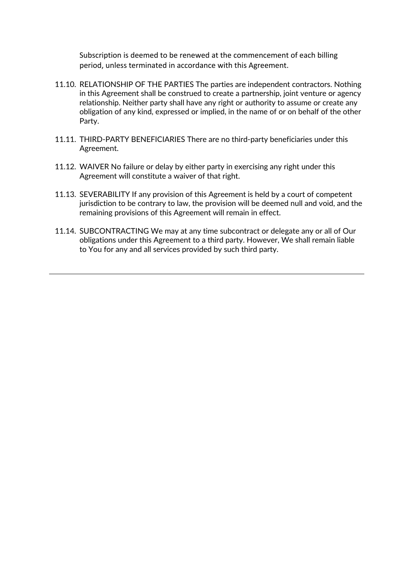Subscription is deemed to be renewed at the commencement of each billing period, unless terminated in accordance with this Agreement.

- 11.10. RELATIONSHIP OF THE PARTIES The parties are independent contractors. Nothing in this Agreement shall be construed to create a partnership, joint venture or agency relationship. Neither party shall have any right or authority to assume or create any obligation of any kind, expressed or implied, in the name of or on behalf of the other Party.
- 11.11. THIRD-PARTY BENEFICIARIES There are no third-party beneficiaries under this Agreement.
- 11.12. WAIVER No failure or delay by either party in exercising any right under this Agreement will constitute a waiver of that right.
- 11.13. SEVERABILITY If any provision of this Agreement is held by a court of competent jurisdiction to be contrary to law, the provision will be deemed null and void, and the remaining provisions of this Agreement will remain in effect.
- 11.14. SUBCONTRACTING We may at any time subcontract or delegate any or all of Our obligations under this Agreement to a third party. However, We shall remain liable to You for any and all services provided by such third party.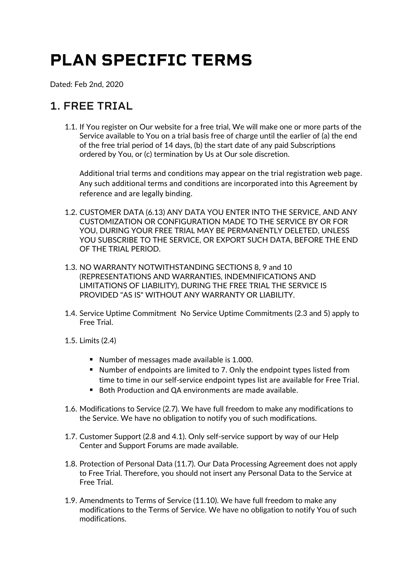# **PLAN SPECIFIC TERMS**

Dated: Feb 2nd, 2020

# **1. FREE TRIAL**

1.1. If You register on Our website for a free trial, We will make one or more parts of the Service available to You on a trial basis free of charge until the earlier of (a) the end of the free trial period of 14 days, (b) the start date of any paid Subscriptions ordered by You, or (c) termination by Us at Our sole discretion.

Additional trial terms and conditions may appear on the trial registration web page. Any such additional terms and conditions are incorporated into this Agreement by reference and are legally binding.

- 1.2. CUSTOMER DATA (6.13) ANY DATA YOU ENTER INTO THE SERVICE, AND ANY CUSTOMIZATION OR CONFIGURATION MADE TO THE SERVICE BY OR FOR YOU, DURING YOUR FREE TRIAL MAY BE PERMANENTLY DELETED, UNLESS YOU SUBSCRIBE TO THE SERVICE, OR EXPORT SUCH DATA, BEFORE THE END OF THE TRIAL PERIOD.
- 1.3. NO WARRANTY NOTWITHSTANDING SECTIONS 8, 9 and 10 (REPRESENTATIONS AND WARRANTIES, INDEMNIFICATIONS AND LIMITATIONS OF LIABILITY), DURING THE FREE TRIAL THE SERVICE IS PROVIDED "AS IS" WITHOUT ANY WARRANTY OR LIABILITY.
- 1.4. Service Uptime Commitment No Service Uptime Commitments (2.3 and 5) apply to Free Trial.
- 1.5. Limits (2.4)
	- ! Number of messages made available is 1.000.
	- ! Number of endpoints are limited to 7. Only the endpoint types listed from time to time in our self-service endpoint types list are available for Free Trial.
	- Both Production and QA environments are made available.
- 1.6. Modifications to Service (2.7). We have full freedom to make any modifications to the Service. We have no obligation to notify you of such modifications.
- 1.7. Customer Support (2.8 and 4.1). Only self-service support by way of our Help Center and Support Forums are made available.
- 1.8. Protection of Personal Data (11.7). Our Data Processing Agreement does not apply to Free Trial. Therefore, you should not insert any Personal Data to the Service at Free Trial.
- 1.9. Amendments to Terms of Service (11.10). We have full freedom to make any modifications to the Terms of Service. We have no obligation to notify You of such modifications.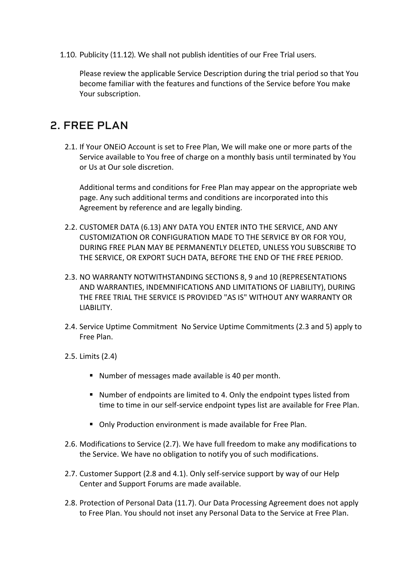1.10. Publicity (11.12). We shall not publish identities of our Free Trial users.

Please review the applicable Service Description during the trial period so that You become familiar with the features and functions of the Service before You make Your subscription.

## **2. FREE PLAN**

2.1. If Your ONEiO Account is set to Free Plan, We will make one or more parts of the Service available to You free of charge on a monthly basis until terminated by You or Us at Our sole discretion.

Additional terms and conditions for Free Plan may appear on the appropriate web page. Any such additional terms and conditions are incorporated into this Agreement by reference and are legally binding.

- 2.2. CUSTOMER DATA (6.13) ANY DATA YOU ENTER INTO THE SERVICE, AND ANY CUSTOMIZATION OR CONFIGURATION MADE TO THE SERVICE BY OR FOR YOU, DURING FREE PLAN MAY BE PERMANENTLY DELETED, UNLESS YOU SUBSCRIBE TO THE SERVICE, OR EXPORT SUCH DATA, BEFORE THE END OF THE FREE PERIOD.
- 2.3. NO WARRANTY NOTWITHSTANDING SECTIONS 8, 9 and 10 (REPRESENTATIONS AND WARRANTIES, INDEMNIFICATIONS AND LIMITATIONS OF LIABILITY), DURING THE FREE TRIAL THE SERVICE IS PROVIDED "AS IS" WITHOUT ANY WARRANTY OR LIABILITY.
- 2.4. Service Uptime Commitment No Service Uptime Commitments (2.3 and 5) apply to Free Plan.
- 2.5. Limits (2.4)
	- ! Number of messages made available is 40 per month.
	- ! Number of endpoints are limited to 4. Only the endpoint types listed from time to time in our self-service endpoint types list are available for Free Plan.
	- Only Production environment is made available for Free Plan.
- 2.6. Modifications to Service (2.7). We have full freedom to make any modifications to the Service. We have no obligation to notify you of such modifications.
- 2.7. Customer Support (2.8 and 4.1). Only self-service support by way of our Help Center and Support Forums are made available.
- 2.8. Protection of Personal Data (11.7). Our Data Processing Agreement does not apply to Free Plan. You should not inset any Personal Data to the Service at Free Plan.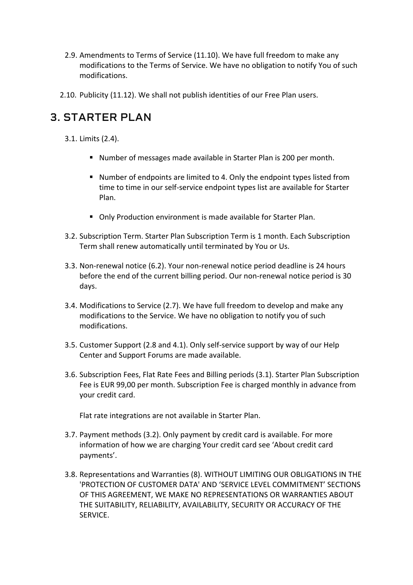- 2.9. Amendments to Terms of Service (11.10). We have full freedom to make any modifications to the Terms of Service. We have no obligation to notify You of such modifications.
- 2.10. Publicity (11.12). We shall not publish identities of our Free Plan users.

# **3. STARTER PLAN**

- 3.1. Limits (2.4).
	- ! Number of messages made available in Starter Plan is 200 per month.
	- ! Number of endpoints are limited to 4. Only the endpoint types listed from time to time in our self-service endpoint types list are available for Starter Plan.
	- ! Only Production environment is made available for Starter Plan.
- 3.2. Subscription Term. Starter Plan Subscription Term is 1 month. Each Subscription Term shall renew automatically until terminated by You or Us.
- 3.3. Non-renewal notice (6.2). Your non-renewal notice period deadline is 24 hours before the end of the current billing period. Our non-renewal notice period is 30 days.
- 3.4. Modifications to Service (2.7). We have full freedom to develop and make any modifications to the Service. We have no obligation to notify you of such modifications.
- 3.5. Customer Support (2.8 and 4.1). Only self-service support by way of our Help Center and Support Forums are made available.
- 3.6. Subscription Fees, Flat Rate Fees and Billing periods (3.1). Starter Plan Subscription Fee is EUR 99,00 per month. Subscription Fee is charged monthly in advance from your credit card.

Flat rate integrations are not available in Starter Plan.

- 3.7. Payment methods (3.2). Only payment by credit card is available. For more information of how we are charging Your credit card see 'About credit card payments'.
- 3.8. Representations and Warranties (8). WITHOUT LIMITING OUR OBLIGATIONS IN THE 'PROTECTION OF CUSTOMER DATA' AND 'SERVICE LEVEL COMMITMENT' SECTIONS OF THIS AGREEMENT, WE MAKE NO REPRESENTATIONS OR WARRANTIES ABOUT THE SUITABILITY, RELIABILITY, AVAILABILITY, SECURITY OR ACCURACY OF THE SERVICE.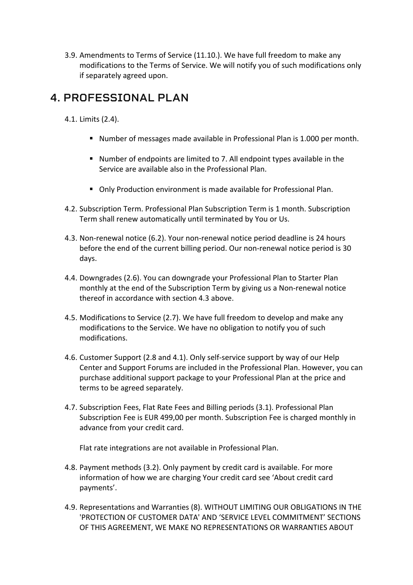3.9. Amendments to Terms of Service (11.10.). We have full freedom to make any modifications to the Terms of Service. We will notify you of such modifications only if separately agreed upon.

# **4. PROFESSIONAL PLAN**

4.1. Limits (2.4).

- ! Number of messages made available in Professional Plan is 1.000 per month.
- ! Number of endpoints are limited to 7. All endpoint types available in the Service are available also in the Professional Plan.
- ! Only Production environment is made available for Professional Plan.
- 4.2. Subscription Term. Professional Plan Subscription Term is 1 month. Subscription Term shall renew automatically until terminated by You or Us.
- 4.3. Non-renewal notice (6.2). Your non-renewal notice period deadline is 24 hours before the end of the current billing period. Our non-renewal notice period is 30 days.
- 4.4. Downgrades (2.6). You can downgrade your Professional Plan to Starter Plan monthly at the end of the Subscription Term by giving us a Non-renewal notice thereof in accordance with section 4.3 above.
- 4.5. Modifications to Service (2.7). We have full freedom to develop and make any modifications to the Service. We have no obligation to notify you of such modifications.
- 4.6. Customer Support (2.8 and 4.1). Only self-service support by way of our Help Center and Support Forums are included in the Professional Plan. However, you can purchase additional support package to your Professional Plan at the price and terms to be agreed separately.
- 4.7. Subscription Fees, Flat Rate Fees and Billing periods (3.1). Professional Plan Subscription Fee is EUR 499,00 per month. Subscription Fee is charged monthly in advance from your credit card.

Flat rate integrations are not available in Professional Plan.

- 4.8. Payment methods (3.2). Only payment by credit card is available. For more information of how we are charging Your credit card see 'About credit card payments'.
- 4.9. Representations and Warranties (8). WITHOUT LIMITING OUR OBLIGATIONS IN THE 'PROTECTION OF CUSTOMER DATA' AND 'SERVICE LEVEL COMMITMENT' SECTIONS OF THIS AGREEMENT, WE MAKE NO REPRESENTATIONS OR WARRANTIES ABOUT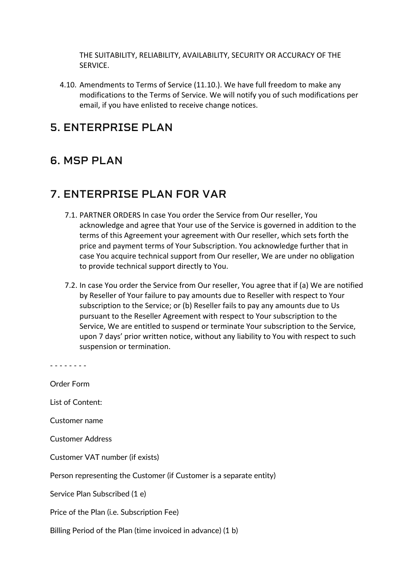THE SUITABILITY, RELIABILITY, AVAILABILITY, SECURITY OR ACCURACY OF THE SERVICE.

4.10. Amendments to Terms of Service (11.10.). We have full freedom to make any modifications to the Terms of Service. We will notify you of such modifications per email, if you have enlisted to receive change notices.

### **5. ENTERPRISE PLAN**

### **6. MSP PLAN**

# **7. ENTERPRISE PLAN FOR VAR**

- 7.1. PARTNER ORDERS In case You order the Service from Our reseller, You acknowledge and agree that Your use of the Service is governed in addition to the terms of this Agreement your agreement with Our reseller, which sets forth the price and payment terms of Your Subscription. You acknowledge further that in case You acquire technical support from Our reseller, We are under no obligation to provide technical support directly to You.
- 7.2. In case You order the Service from Our reseller, You agree that if (a) We are notified by Reseller of Your failure to pay amounts due to Reseller with respect to Your subscription to the Service; or (b) Reseller fails to pay any amounts due to Us pursuant to the Reseller Agreement with respect to Your subscription to the Service, We are entitled to suspend or terminate Your subscription to the Service, upon 7 days' prior written notice, without any liability to You with respect to such suspension or termination.

| Order Form                                                          |
|---------------------------------------------------------------------|
| List of Content:                                                    |
| Customer name                                                       |
| Customer Address                                                    |
| Customer VAT number (if exists)                                     |
| Person representing the Customer (if Customer is a separate entity) |
| Service Plan Subscribed (1 e)                                       |
| Price of the Plan (i.e. Subscription Fee)                           |
| Billing Period of the Plan (time invoiced in advance) (1 b)         |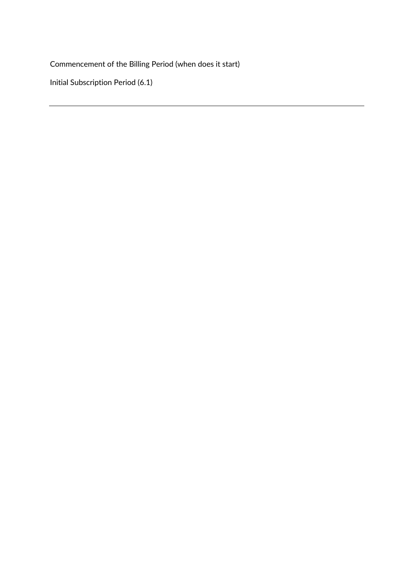Commencement of the Billing Period (when does it start)

Initial Subscription Period (6.1)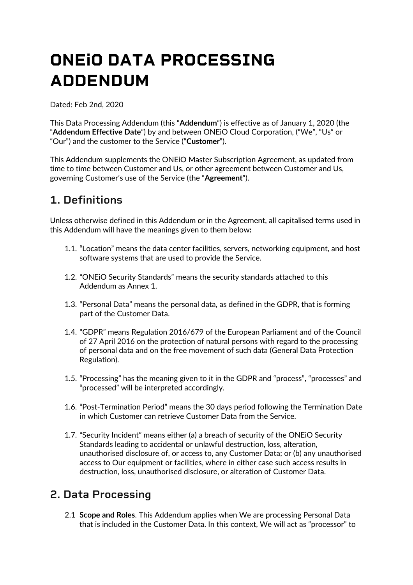# **ONEiO DATA PROCESSING ADDENDUM**

Dated: Feb 2nd, 2020

This Data Processing Addendum (this "**Addendum**") is effective as of January 1, 2020 (the "**Addendum Effective Date**") by and between ONEiO Cloud Corporation, ("We", "Us" or "Our") and the customer to the Service ("**Customer**").

This Addendum supplements the ONEiO Master Subscription Agreement, as updated from time to time between Customer and Us, or other agreement between Customer and Us, governing Customer's use of the Service (the "**Agreement**").

# **1. Definitions**

Unless otherwise defined in this Addendum or in the Agreement, all capitalised terms used in this Addendum will have the meanings given to them below**:** 

- 1.1. "Location" means the data center facilities, servers, networking equipment, and host software systems that are used to provide the Service.
- 1.2. "ONEiO Security Standards" means the security standards attached to this Addendum as Annex 1.
- 1.3. "Personal Data" means the personal data, as defined in the GDPR, that is forming part of the Customer Data.
- 1.4. "GDPR" means Regulation 2016/679 of the European Parliament and of the Council of 27 April 2016 on the protection of natural persons with regard to the processing of personal data and on the free movement of such data (General Data Protection Regulation).
- 1.5. "Processing" has the meaning given to it in the GDPR and "process", "processes" and "processed" will be interpreted accordingly.
- 1.6. "Post-Termination Period" means the 30 days period following the Termination Date in which Customer can retrieve Customer Data from the Service.
- 1.7. "Security Incident" means either (a) a breach of security of the ONEiO Security Standards leading to accidental or unlawful destruction, loss, alteration, unauthorised disclosure of, or access to, any Customer Data; or (b) any unauthorised access to Our equipment or facilities, where in either case such access results in destruction, loss, unauthorised disclosure, or alteration of Customer Data.

# **2. Data Processing**

2.1 **Scope and Roles**. This Addendum applies when We are processing Personal Data that is included in the Customer Data. In this context, We will act as "processor" to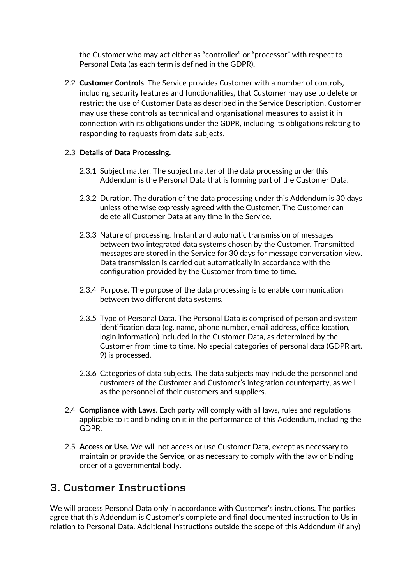the Customer who may act either as "controller" or "processor" with respect to Personal Data (as each term is defined in the GDPR)**.**

2.2 **Customer Controls**. The Service provides Customer with a number of controls, including security features and functionalities, that Customer may use to delete or restrict the use of Customer Data as described in the Service Description. Customer may use these controls as technical and organisational measures to assist it in connection with its obligations under the GDPR, including its obligations relating to responding to requests from data subjects.

#### 2.3 **Details of Data Processing.**

- 2.3.1 Subject matter. The subject matter of the data processing under this Addendum is the Personal Data that is forming part of the Customer Data.
- 2.3.2 Duration. The duration of the data processing under this Addendum is 30 days unless otherwise expressly agreed with the Customer. The Customer can delete all Customer Data at any time in the Service.
- 2.3.3 Nature of processing. Instant and automatic transmission of messages between two integrated data systems chosen by the Customer. Transmitted messages are stored in the Service for 30 days for message conversation view. Data transmission is carried out automatically in accordance with the configuration provided by the Customer from time to time.
- 2.3.4 Purpose. The purpose of the data processing is to enable communication between two different data systems.
- 2.3.5 Type of Personal Data. The Personal Data is comprised of person and system identification data (eg. name, phone number, email address, office location, login information) included in the Customer Data, as determined by the Customer from time to time. No special categories of personal data (GDPR art. 9) is processed.
- 2.3.6 Categories of data subjects. The data subjects may include the personnel and customers of the Customer and Customer's integration counterparty, as well as the personnel of their customers and suppliers.
- 2.4 **Compliance with Laws**. Each party will comply with all laws, rules and regulations applicable to it and binding on it in the performance of this Addendum, including the GDPR.
- 2.5 **Access or Use.** We will not access or use Customer Data, except as necessary to maintain or provide the Service, or as necessary to comply with the law or binding order of a governmental body**.**

### **3. Customer Instructions**

We will process Personal Data only in accordance with Customer's instructions. The parties agree that this Addendum is Customer's complete and final documented instruction to Us in relation to Personal Data. Additional instructions outside the scope of this Addendum (if any)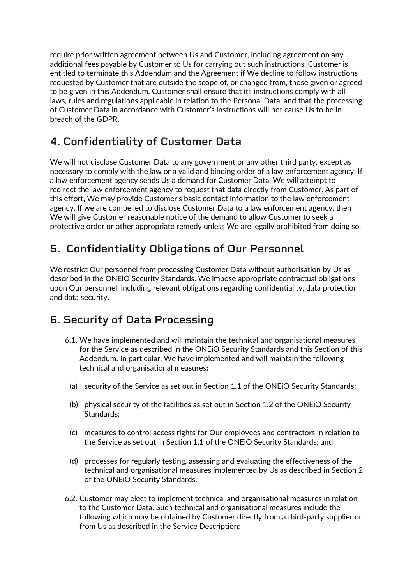require prior written agreement between Us and Customer, including agreement on any additional fees payable by Customer to Us for carrying out such instructions. Customer is entitled to terminate this Addendum and the Agreement if We decline to follow instructions requested by Customer that are outside the scope of, or changed from, those given or agreed to be given in this Addendum. Customer shall ensure that its instructions comply with all laws, rules and regulations applicable in relation to the Personal Data, and that the processing of Customer Data in accordance with Customer's instructions will not cause Us to be in breach of the GDPR.

# **4. Confidentiality of Customer Data**

We will not disclose Customer Data to any government or any other third party, except as necessary to comply with the law or a valid and binding order of a law enforcement agency. If a law enforcement agency sends Us a demand for Customer Data, We will attempt to redirect the law enforcement agency to request that data directly from Customer. As part of this effort, We may provide Customer's basic contact information to the law enforcement agency. If we are compelled to disclose Customer Data to a law enforcement agency, then We will give Customer reasonable notice of the demand to allow Customer to seek a protective order or other appropriate remedy unless We are legally prohibited from doing so.

# **5. Confidentiality Obligations of Our Personnel**

We restrict Our personnel from processing Customer Data without authorisation by Us as described in the ONEiO Security Standards. We impose appropriate contractual obligations upon Our personnel, including relevant obligations regarding confidentiality, data protection and data security**.** 

# **6. Security of Data Processing**

- 6.1. We have implemented and will maintain the technical and organisational measures for the Service as described in the ONEiO Security Standards and this Section of this Addendum. In particular, We have implemented and will maintain the following technical and organisational measures**:**
	- (a) security of the Service as set out in Section 1.1 of the ONEiO Security Standards;
	- (b) physical security of the facilities as set out in Section 1.2 of the ONEiO Security Standards;
	- (c) measures to control access rights for Our employees and contractors in relation to the Service as set out in Section 1.1 of the ONEiO Security Standards; and
	- (d) processes for regularly testing, assessing and evaluating the effectiveness of the technical and organisational measures implemented by Us as described in Section 2 of the ONEiO Security Standards.
- 6.2. Customer may elect to implement technical and organisational measures in relation to the Customer Data. Such technical and organisational measures include the following which may be obtained by Customer directly from a third-party supplier or from Us as described in the Service Description: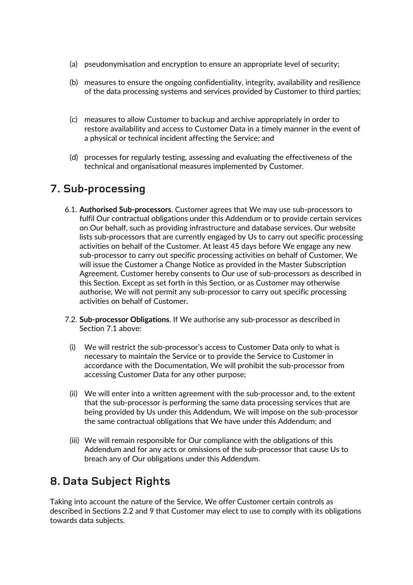- (a) pseudonymisation and encryption to ensure an appropriate level of security;
- (b) measures to ensure the ongoing confidentiality, integrity, availability and resilience of the data processing systems and services provided by Customer to third parties;
- (c) measures to allow Customer to backup and archive appropriately in order to restore availability and access to Customer Data in a timely manner in the event of a physical or technical incident affecting the Service; and
- (d) processes for regularly testing, assessing and evaluating the effectiveness of the technical and organisational measures implemented by Customer.

# **7. Sub**-**processing**

- 6.1. **Authorised Sub-processors**. Customer agrees that We may use sub-processors to fulfil Our contractual obligations under this Addendum or to provide certain services on Our behalf, such as providing infrastructure and database services. Our website lists sub-processors that are currently engaged by Us to carry out specific processing activities on behalf of the Customer. At least 45 days before We engage any new sub-processor to carry out specific processing activities on behalf of Customer, We will issue the Customer a Change Notice as provided in the Master Subscription Agreement. Customer hereby consents to Our use of sub-processors as described in this Section. Except as set forth in this Section, or as Customer may otherwise authorise, We will not permit any sub-processor to carry out specific processing activities on behalf of Customer**.**
- 7.2. **Sub-processor Obligations**. If We authorise any sub-processor as described in Section 7.1 above:
	- (i) We will restrict the sub-processor's access to Customer Data only to what is necessary to maintain the Service or to provide the Service to Customer in accordance with the Documentation, We will prohibit the sub-processor from accessing Customer Data for any other purpose;
	- (ii) We will enter into a written agreement with the sub-processor and, to the extent that the sub-processor is performing the same data processing services that are being provided by Us under this Addendum, We will impose on the sub-processor the same contractual obligations that We have under this Addendum; and
	- (iii) We will remain responsible for Our compliance with the obligations of this Addendum and for any acts or omissions of the sub-processor that cause Us to breach any of Our obligations under this Addendum.

# **8. Data Subject Rights**

Taking into account the nature of the Service, We offer Customer certain controls as described in Sections 2.2 and 9 that Customer may elect to use to comply with its obligations towards data subjects.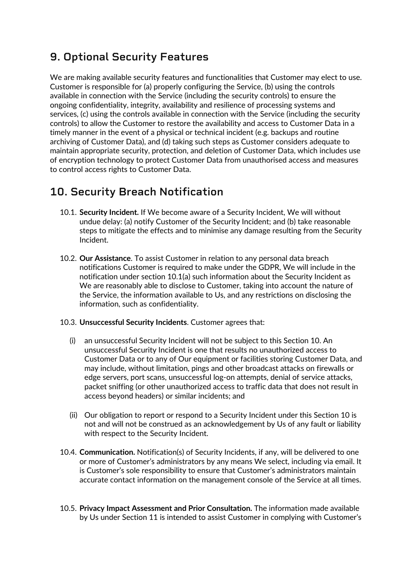# **9. Optional Security Features**

We are making available security features and functionalities that Customer may elect to use. Customer is responsible for (a) properly configuring the Service, (b) using the controls available in connection with the Service (including the security controls) to ensure the ongoing confidentiality, integrity, availability and resilience of processing systems and services, (c) using the controls available in connection with the Service (including the security controls) to allow the Customer to restore the availability and access to Customer Data in a timely manner in the event of a physical or technical incident (e.g. backups and routine archiving of Customer Data), and (d) taking such steps as Customer considers adequate to maintain appropriate security, protection, and deletion of Customer Data, which includes use of encryption technology to protect Customer Data from unauthorised access and measures to control access rights to Customer Data.

# **10. Security Breach Notification**

- 10.1. **Security Incident.** If We become aware of a Security Incident, We will without undue delay: (a) notify Customer of the Security Incident; and (b) take reasonable steps to mitigate the effects and to minimise any damage resulting from the Security Incident.
- 10.2. **Our Assistance**. To assist Customer in relation to any personal data breach notifications Customer is required to make under the GDPR, We will include in the notification under section 10.1(a) such information about the Security Incident as We are reasonably able to disclose to Customer, taking into account the nature of the Service, the information available to Us, and any restrictions on disclosing the information, such as confidentiality.
- 10.3. **Unsuccessful Security Incidents**. Customer agrees that:
	- (i) an unsuccessful Security Incident will not be subject to this Section 10. An unsuccessful Security Incident is one that results no unauthorized access to Customer Data or to any of Our equipment or facilities storing Customer Data, and may include, without limitation, pings and other broadcast attacks on firewalls or edge servers, port scans, unsuccessful log-on attempts, denial of service attacks, packet sniffing (or other unauthorized access to traffic data that does not result in access beyond headers) or similar incidents; and
	- (ii) Our obligation to report or respond to a Security Incident under this Section 10 is not and will not be construed as an acknowledgement by Us of any fault or liability with respect to the Security Incident.
- 10.4. **Communication.** Notification(s) of Security Incidents, if any, will be delivered to one or more of Customer's administrators by any means We select, including via email. It is Customer's sole responsibility to ensure that Customer's administrators maintain accurate contact information on the management console of the Service at all times.
- 10.5. **Privacy Impact Assessment and Prior Consultation.** The information made available by Us under Section 11 is intended to assist Customer in complying with Customer's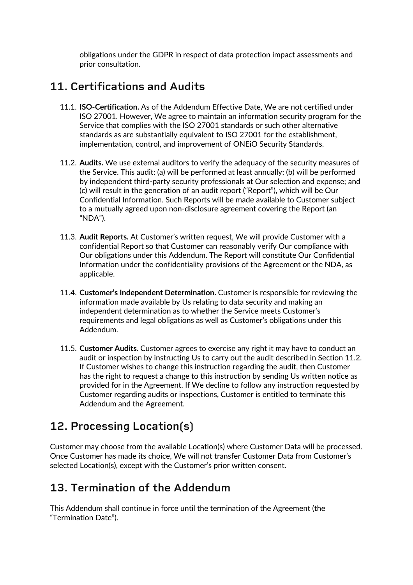obligations under the GDPR in respect of data protection impact assessments and prior consultation.

# **11. Certifications and Audits**

- 11.1. **ISO-Certification.** As of the Addendum Effective Date, We are not certified under ISO 27001. However, We agree to maintain an information security program for the Service that complies with the ISO 27001 standards or such other alternative standards as are substantially equivalent to ISO 27001 for the establishment, implementation, control, and improvement of ONEiO Security Standards.
- 11.2. **Audits.** We use external auditors to verify the adequacy of the security measures of the Service. This audit: (a) will be performed at least annually; (b) will be performed by independent third-party security professionals at Our selection and expense; and (c) will result in the generation of an audit report ("Report"), which will be Our Confidential Information. Such Reports will be made available to Customer subject to a mutually agreed upon non-disclosure agreement covering the Report (an "NDA").
- 11.3. **Audit Reports.** At Customer's written request, We will provide Customer with a confidential Report so that Customer can reasonably verify Our compliance with Our obligations under this Addendum. The Report will constitute Our Confidential Information under the confidentiality provisions of the Agreement or the NDA, as applicable.
- 11.4. **Customer's Independent Determination.** Customer is responsible for reviewing the information made available by Us relating to data security and making an independent determination as to whether the Service meets Customer's requirements and legal obligations as well as Customer's obligations under this Addendum.
- 11.5. **Customer Audits.** Customer agrees to exercise any right it may have to conduct an audit or inspection by instructing Us to carry out the audit described in Section 11.2. If Customer wishes to change this instruction regarding the audit, then Customer has the right to request a change to this instruction by sending Us written notice as provided for in the Agreement. If We decline to follow any instruction requested by Customer regarding audits or inspections, Customer is entitled to terminate this Addendum and the Agreement.

# **12. Processing Location(s)**

Customer may choose from the available Location(s) where Customer Data will be processed. Once Customer has made its choice, We will not transfer Customer Data from Customer's selected Location(s), except with the Customer's prior written consent.

## **13. Termination of the Addendum**

This Addendum shall continue in force until the termination of the Agreement (the "Termination Date").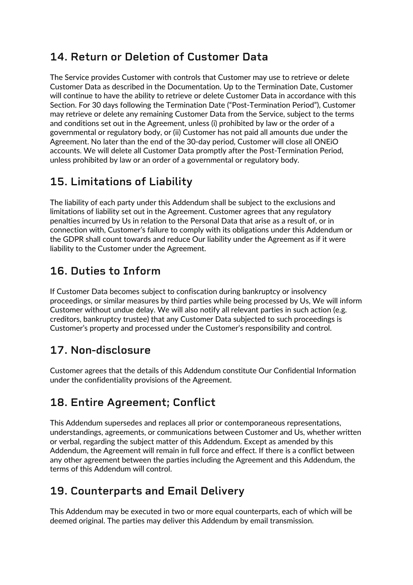# **14. Return or Deletion of Customer Data**

The Service provides Customer with controls that Customer may use to retrieve or delete Customer Data as described in the Documentation. Up to the Termination Date, Customer will continue to have the ability to retrieve or delete Customer Data in accordance with this Section. For 30 days following the Termination Date ("Post-Termination Period"), Customer may retrieve or delete any remaining Customer Data from the Service, subject to the terms and conditions set out in the Agreement, unless (i) prohibited by law or the order of a governmental or regulatory body, or (ii) Customer has not paid all amounts due under the Agreement. No later than the end of the 30-day period, Customer will close all ONEiO accounts. We will delete all Customer Data promptly after the Post-Termination Period, unless prohibited by law or an order of a governmental or regulatory body.

# **15. Limitations of Liability**

The liability of each party under this Addendum shall be subject to the exclusions and limitations of liability set out in the Agreement. Customer agrees that any regulatory penalties incurred by Us in relation to the Personal Data that arise as a result of, or in connection with, Customer's failure to comply with its obligations under this Addendum or the GDPR shall count towards and reduce Our liability under the Agreement as if it were liability to the Customer under the Agreement.

# **16. Duties to Inform**

If Customer Data becomes subject to confiscation during bankruptcy or insolvency proceedings, or similar measures by third parties while being processed by Us, We will inform Customer without undue delay. We will also notify all relevant parties in such action (e.g. creditors, bankruptcy trustee) that any Customer Data subjected to such proceedings is Customer's property and processed under the Customer's responsibility and control.

# **17. Non-disclosure**

Customer agrees that the details of this Addendum constitute Our Confidential Information under the confidentiality provisions of the Agreement.

# **18. Entire Agreement; Conflict**

This Addendum supersedes and replaces all prior or contemporaneous representations, understandings, agreements, or communications between Customer and Us, whether written or verbal, regarding the subject matter of this Addendum. Except as amended by this Addendum, the Agreement will remain in full force and effect. If there is a conflict between any other agreement between the parties including the Agreement and this Addendum, the terms of this Addendum will control.

# **19. Counterparts and Email Delivery**

This Addendum may be executed in two or more equal counterparts, each of which will be deemed original. The parties may deliver this Addendum by email transmission.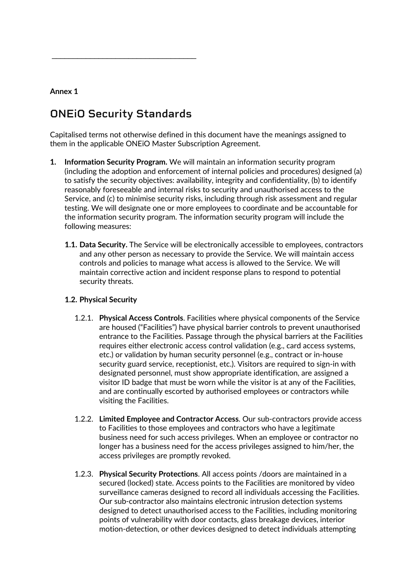#### **Annex 1**

# **ONEiO Security Standards**

 $\mathcal{L}=\{1,2,3,4,5\}$ 

Capitalised terms not otherwise defined in this document have the meanings assigned to them in the applicable ONEiO Master Subscription Agreement.

- **1. Information Security Program.** We will maintain an information security program (including the adoption and enforcement of internal policies and procedures) designed (a) to satisfy the security objectives: availability, integrity and confidentiality, (b) to identify reasonably foreseeable and internal risks to security and unauthorised access to the Service, and (c) to minimise security risks, including through risk assessment and regular testing. We will designate one or more employees to coordinate and be accountable for the information security program. The information security program will include the following measures:
	- **1.1. Data Security.** The Service will be electronically accessible to employees, contractors and any other person as necessary to provide the Service. We will maintain access controls and policies to manage what access is allowed to the Service. We will maintain corrective action and incident response plans to respond to potential security threats.

#### **1.2. Physical Security**

- 1.2.1. **Physical Access Controls**. Facilities where physical components of the Service are housed ("Facilities") have physical barrier controls to prevent unauthorised entrance to the Facilities. Passage through the physical barriers at the Facilities requires either electronic access control validation (e.g., card access systems, etc.) or validation by human security personnel (e.g., contract or in-house security guard service, receptionist, etc.). Visitors are required to sign-in with designated personnel, must show appropriate identification, are assigned a visitor ID badge that must be worn while the visitor is at any of the Facilities, and are continually escorted by authorised employees or contractors while visiting the Facilities.
- 1.2.2. **Limited Employee and Contractor Access**. Our sub-contractors provide access to Facilities to those employees and contractors who have a legitimate business need for such access privileges. When an employee or contractor no longer has a business need for the access privileges assigned to him/her, the access privileges are promptly revoked.
- 1.2.3. **Physical Security Protections**. All access points /doors are maintained in a secured (locked) state. Access points to the Facilities are monitored by video surveillance cameras designed to record all individuals accessing the Facilities. Our sub-contractor also maintains electronic intrusion detection systems designed to detect unauthorised access to the Facilities, including monitoring points of vulnerability with door contacts, glass breakage devices, interior motion-detection, or other devices designed to detect individuals attempting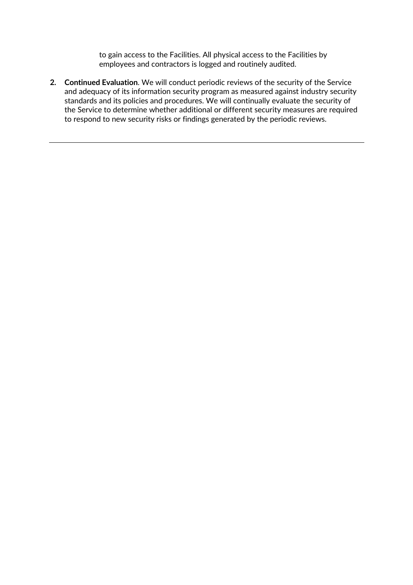to gain access to the Facilities. All physical access to the Facilities by employees and contractors is logged and routinely audited.

**2. Continued Evaluation**. We will conduct periodic reviews of the security of the Service and adequacy of its information security program as measured against industry security standards and its policies and procedures. We will continually evaluate the security of the Service to determine whether additional or different security measures are required to respond to new security risks or findings generated by the periodic reviews.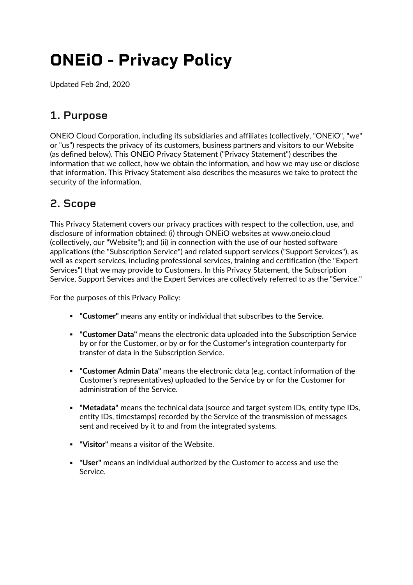# **ONEiO - Privacy Policy**

Updated Feb 2nd, 2020

# **1. Purpose**

ONEiO Cloud Corporation, including its subsidiaries and affiliates (collectively, "ONEiO", "we" or "us") respects the privacy of its customers, business partners and visitors to our Website (as defined below). This ONEiO Privacy Statement ("Privacy Statement") describes the information that we collect, how we obtain the information, and how we may use or disclose that information. This Privacy Statement also describes the measures we take to protect the security of the information.

# **2. Scope**

This Privacy Statement covers our privacy practices with respect to the collection, use, and disclosure of information obtained: (i) through ONEiO websites at www.oneio.cloud (collectively, our "Website"); and (ii) in connection with the use of our hosted software applications (the "Subscription Service") and related support services ("Support Services"), as well as expert services, including professional services, training and certification (the "Expert Services") that we may provide to Customers. In this Privacy Statement, the Subscription Service, Support Services and the Expert Services are collectively referred to as the "Service."

For the purposes of this Privacy Policy:

- ! **"Customer"** means any entity or individual that subscribes to the Service.
- ! **"Customer Data"** means the electronic data uploaded into the Subscription Service by or for the Customer, or by or for the Customer's integration counterparty for transfer of data in the Subscription Service.
- ! **"Customer Admin Data"** means the electronic data (e.g. contact information of the Customer's representatives) uploaded to the Service by or for the Customer for administration of the Service.
- ! **"Metadata"** means the technical data (source and target system IDs, entity type IDs, entity IDs, timestamps) recorded by the Service of the transmission of messages sent and received by it to and from the integrated systems.
- ! **"Visitor"** means a visitor of the Website.
- ! "**User"** means an individual authorized by the Customer to access and use the Service.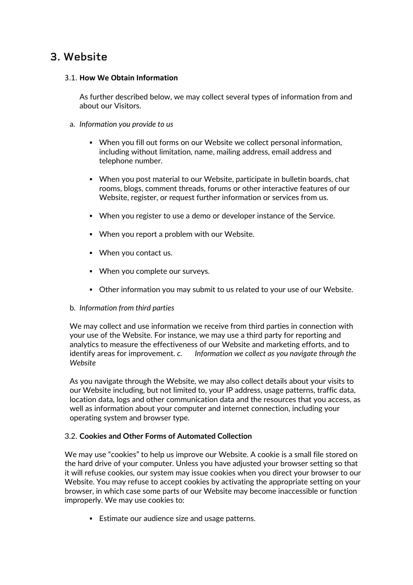### **3. Website**

#### 3.1. **How We Obtain Information**

As further described below, we may collect several types of information from and about our Visitors.

- a. *Information you provide to us*
	- ! When you fill out forms on our Website we collect personal information, including without limitation, name, mailing address, email address and telephone number.
	- . When you post material to our Website, participate in bulletin boards, chat rooms, blogs, comment threads, forums or other interactive features of our Website, register, or request further information or services from us.
	- ! When you register to use a demo or developer instance of the Service.
	- ! When you report a problem with our Website.
	- ! When you contact us.
	- ! When you complete our surveys.
	- ! Other information you may submit to us related to your use of our Website.

#### b. *Information from third parties*

We may collect and use information we receive from third parties in connection with your use of the Website. For instance, we may use a third party for reporting and analytics to measure the effectiveness of our Website and marketing efforts, and to identify areas for improvement. *c. Information we collect as you navigate through the Website*

As you navigate through the Website, we may also collect details about your visits to our Website including, but not limited to, your IP address, usage patterns, traffic data, location data, logs and other communication data and the resources that you access, as well as information about your computer and internet connection, including your operating system and browser type.

#### 3.2. **Cookies and Other Forms of Automated Collection**

We may use "cookies" to help us improve our Website. A cookie is a small file stored on the hard drive of your computer. Unless you have adjusted your browser setting so that it will refuse cookies, our system may issue cookies when you direct your browser to our Website. You may refuse to accept cookies by activating the appropriate setting on your browser, in which case some parts of our Website may become inaccessible or function improperly. We may use cookies to:

**Estimate our audience size and usage patterns.**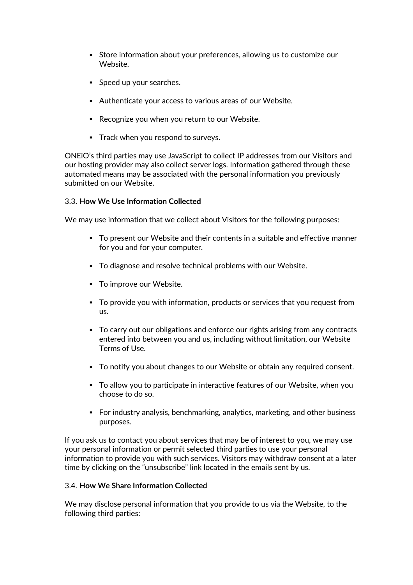- ! Store information about your preferences, allowing us to customize our Website.
- **Speed up your searches.**
- ! Authenticate your access to various areas of our Website.
- ! Recognize you when you return to our Website.
- ! Track when you respond to surveys.

ONEiO's third parties may use JavaScript to collect IP addresses from our Visitors and our hosting provider may also collect server logs. Information gathered through these automated means may be associated with the personal information you previously submitted on our Website.

#### 3.3. **How We Use Information Collected**

We may use information that we collect about Visitors for the following purposes:

- ! To present our Website and their contents in a suitable and effective manner for you and for your computer.
- ! To diagnose and resolve technical problems with our Website.
- **To improve our Website.**
- ! To provide you with information, products or services that you request from us.
- ! To carry out our obligations and enforce our rights arising from any contracts entered into between you and us, including without limitation, our Website Terms of Use.
- ! To notify you about changes to our Website or obtain any required consent.
- ! To allow you to participate in interactive features of our Website, when you choose to do so.
- ! For industry analysis, benchmarking, analytics, marketing, and other business purposes.

If you ask us to contact you about services that may be of interest to you, we may use your personal information or permit selected third parties to use your personal information to provide you with such services. Visitors may withdraw consent at a later time by clicking on the "unsubscribe" link located in the emails sent by us.

#### 3.4. **How We Share Information Collected**

We may disclose personal information that you provide to us via the Website, to the following third parties: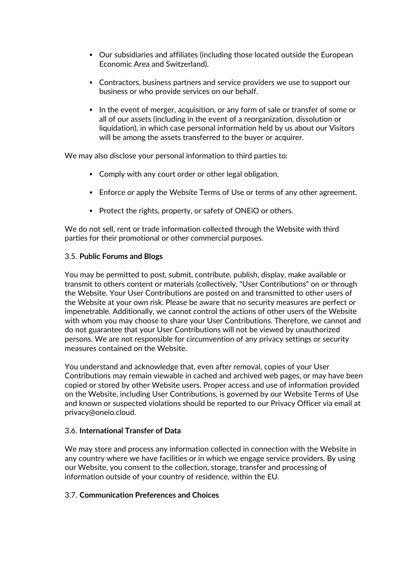- ! Our subsidiaries and affiliates (including those located outside the European Economic Area and Switzerland).
- ! Contractors, business partners and service providers we use to support our business or who provide services on our behalf.
- ! In the event of merger, acquisition, or any form of sale or transfer of some or all of our assets (including in the event of a reorganization, dissolution or liquidation), in which case personal information held by us about our Visitors will be among the assets transferred to the buyer or acquirer.

We may also disclose your personal information to third parties to:

- ! Comply with any court order or other legal obligation.
- **E** Enforce or apply the Website Terms of Use or terms of any other agreement.
- ! Protect the rights, property, or safety of ONEiO or others.

We do not sell, rent or trade information collected through the Website with third parties for their promotional or other commercial purposes.

#### 3.5. **Public Forums and Blogs**

You may be permitted to post, submit, contribute, publish, display, make available or transmit to others content or materials (collectively, "User Contributions" on or through the Website. Your User Contributions are posted on and transmitted to other users of the Website at your own risk. Please be aware that no security measures are perfect or impenetrable. Additionally, we cannot control the actions of other users of the Website with whom you may choose to share your User Contributions. Therefore, we cannot and do not guarantee that your User Contributions will not be viewed by unauthorized persons. We are not responsible for circumvention of any privacy settings or security measures contained on the Website.

You understand and acknowledge that, even after removal, copies of your User Contributions may remain viewable in cached and archived web pages, or may have been copied or stored by other Website users. Proper access and use of information provided on the Website, including User Contributions, is governed by our Website Terms of Use and known or suspected violations should be reported to our Privacy Officer via email at privacy@oneio.cloud.

#### 3.6. **International Transfer of Data**

We may store and process any information collected in connection with the Website in any country where we have facilities or in which we engage service providers. By using our Website, you consent to the collection, storage, transfer and processing of information outside of your country of residence, within the EU.

#### 3.7. **Communication Preferences and Choices**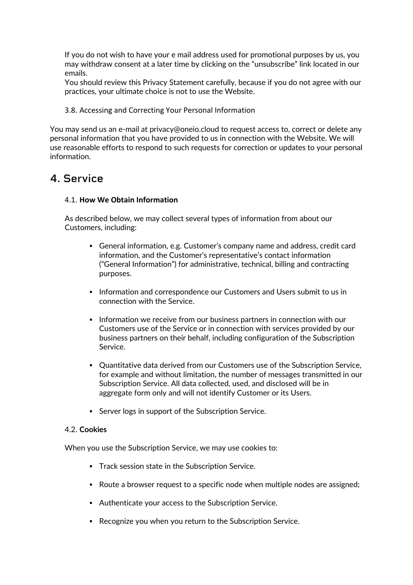If you do not wish to have your e mail address used for promotional purposes by us, you may withdraw consent at a later time by clicking on the "unsubscribe" link located in our emails.

You should review this Privacy Statement carefully, because if you do not agree with our practices, your ultimate choice is not to use the Website.

3.8. Accessing and Correcting Your Personal Information

You may send us an e-mail at privacy@oneio.cloud to request access to, correct or delete any personal information that you have provided to us in connection with the Website. We will use reasonable efforts to respond to such requests for correction or updates to your personal information.

### **4. Service**

#### 4.1. **How We Obtain Information**

As described below, we may collect several types of information from about our Customers, including:

- ! General information, e.g. Customer's company name and address, credit card information, and the Customer's representative's contact information ("General Information") for administrative, technical, billing and contracting purposes.
- ! Information and correspondence our Customers and Users submit to us in connection with the Service.
- ! Information we receive from our business partners in connection with our Customers use of the Service or in connection with services provided by our business partners on their behalf, including configuration of the Subscription Service.
- ! Quantitative data derived from our Customers use of the Subscription Service, for example and without limitation, the number of messages transmitted in our Subscription Service. All data collected, used, and disclosed will be in aggregate form only and will not identify Customer or its Users.
- ! Server logs in support of the Subscription Service.

#### 4.2. **Cookies**

When you use the Subscription Service, we may use cookies to:

- ! Track session state in the Subscription Service.
- ! Route a browser request to a specific node when multiple nodes are assigned;
- ! Authenticate your access to the Subscription Service.
- ! Recognize you when you return to the Subscription Service.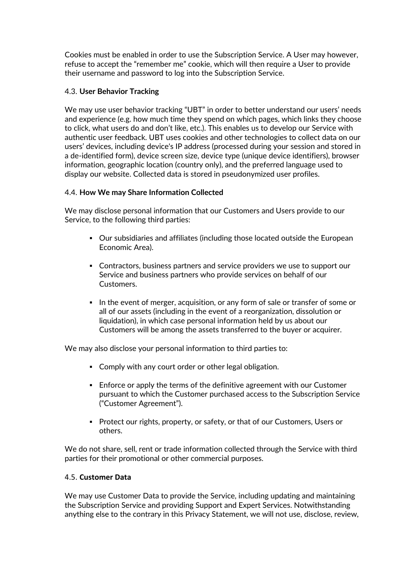Cookies must be enabled in order to use the Subscription Service. A User may however, refuse to accept the "remember me" cookie, which will then require a User to provide their username and password to log into the Subscription Service.

#### 4.3. **User Behavior Tracking**

We may use user behavior tracking "UBT" in order to better understand our users' needs and experience (e.g. how much time they spend on which pages, which links they choose to click, what users do and don't like, etc.). This enables us to develop our Service with authentic user feedback. UBT uses cookies and other technologies to collect data on our users' devices, including device's IP address (processed during your session and stored in a de-identified form), device screen size, device type (unique device identifiers), browser information, geographic location (country only), and the preferred language used to display our website. Collected data is stored in pseudonymized user profiles.

#### 4.4. **How We may Share Information Collected**

We may disclose personal information that our Customers and Users provide to our Service, to the following third parties:

- **.** Our subsidiaries and affiliates (including those located outside the European Economic Area).
- ! Contractors, business partners and service providers we use to support our Service and business partners who provide services on behalf of our Customers.
- ! In the event of merger, acquisition, or any form of sale or transfer of some or all of our assets (including in the event of a reorganization, dissolution or liquidation), in which case personal information held by us about our Customers will be among the assets transferred to the buyer or acquirer.

We may also disclose your personal information to third parties to:

- ! Comply with any court order or other legal obligation.
- **Enforce or apply the terms of the definitive agreement with our Customer** pursuant to which the Customer purchased access to the Subscription Service ("Customer Agreement").
- ! Protect our rights, property, or safety, or that of our Customers, Users or others.

We do not share, sell, rent or trade information collected through the Service with third parties for their promotional or other commercial purposes.

#### 4.5. **Customer Data**

We may use Customer Data to provide the Service, including updating and maintaining the Subscription Service and providing Support and Expert Services. Notwithstanding anything else to the contrary in this Privacy Statement, we will not use, disclose, review,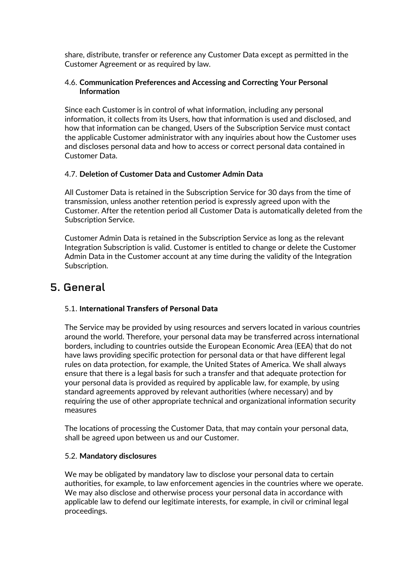share, distribute, transfer or reference any Customer Data except as permitted in the Customer Agreement or as required by law.

#### 4.6. **Communication Preferences and Accessing and Correcting Your Personal Information**

Since each Customer is in control of what information, including any personal information, it collects from its Users, how that information is used and disclosed, and how that information can be changed, Users of the Subscription Service must contact the applicable Customer administrator with any inquiries about how the Customer uses and discloses personal data and how to access or correct personal data contained in Customer Data.

#### 4.7. **Deletion of Customer Data and Customer Admin Data**

All Customer Data is retained in the Subscription Service for 30 days from the time of transmission, unless another retention period is expressly agreed upon with the Customer. After the retention period all Customer Data is automatically deleted from the Subscription Service.

Customer Admin Data is retained in the Subscription Service as long as the relevant Integration Subscription is valid. Customer is entitled to change or delete the Customer Admin Data in the Customer account at any time during the validity of the Integration Subscription.

### **5. General**

#### 5.1. **International Transfers of Personal Data**

The Service may be provided by using resources and servers located in various countries around the world. Therefore, your personal data may be transferred across international borders, including to countries outside the European Economic Area (EEA) that do not have laws providing specific protection for personal data or that have different legal rules on data protection, for example, the United States of America. We shall always ensure that there is a legal basis for such a transfer and that adequate protection for your personal data is provided as required by applicable law, for example, by using standard agreements approved by relevant authorities (where necessary) and by requiring the use of other appropriate technical and organizational information security measures

The locations of processing the Customer Data, that may contain your personal data, shall be agreed upon between us and our Customer.

#### 5.2. **Mandatory disclosures**

We may be obligated by mandatory law to disclose your personal data to certain authorities, for example, to law enforcement agencies in the countries where we operate. We may also disclose and otherwise process your personal data in accordance with applicable law to defend our legitimate interests, for example, in civil or criminal legal proceedings.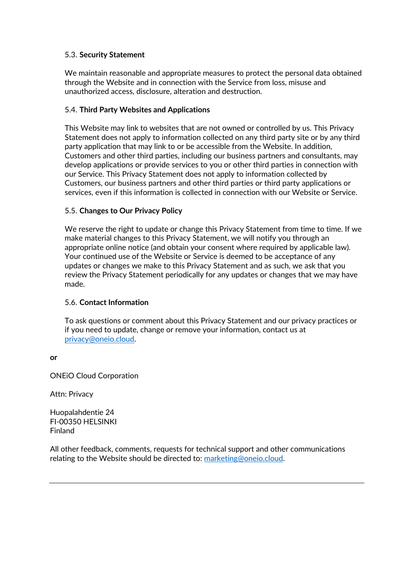#### 5.3. **Security Statement**

We maintain reasonable and appropriate measures to protect the personal data obtained through the Website and in connection with the Service from loss, misuse and unauthorized access, disclosure, alteration and destruction.

#### 5.4. **Third Party Websites and Applications**

This Website may link to websites that are not owned or controlled by us. This Privacy Statement does not apply to information collected on any third party site or by any third party application that may link to or be accessible from the Website. In addition, Customers and other third parties, including our business partners and consultants, may develop applications or provide services to you or other third parties in connection with our Service. This Privacy Statement does not apply to information collected by Customers, our business partners and other third parties or third party applications or services, even if this information is collected in connection with our Website or Service.

#### 5.5. **Changes to Our Privacy Policy**

We reserve the right to update or change this Privacy Statement from time to time. If we make material changes to this Privacy Statement, we will notify you through an appropriate online notice (and obtain your consent where required by applicable law). Your continued use of the Website or Service is deemed to be acceptance of any updates or changes we make to this Privacy Statement and as such, we ask that you review the Privacy Statement periodically for any updates or changes that we may have made.

#### 5.6. **Contact Information**

To ask questions or comment about this Privacy Statement and our privacy practices or if you need to update, change or remove your information, contact us at privacy@oneio.cloud.

#### **or**

ONEiO Cloud Corporation

Attn: Privacy

Huopalahdentie 24 FI-00350 HELSINKI Finland

All other feedback, comments, requests for technical support and other communications relating to the Website should be directed to: marketing@oneio.cloud.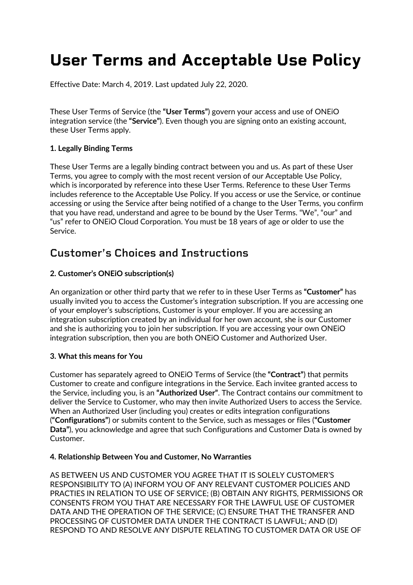# **User Terms and Acceptable Use Policy**

Effective Date: March 4, 2019. Last updated July 22, 2020.

These User Terms of Service (the **"User Terms"**) govern your access and use of ONEiO integration service (the **"Service"**). Even though you are signing onto an existing account, these User Terms apply.

#### **1. Legally Binding Terms**

These User Terms are a legally binding contract between you and us. As part of these User Terms, you agree to comply with the most recent version of our Acceptable Use Policy, which is incorporated by reference into these User Terms. Reference to these User Terms includes reference to the Acceptable Use Policy. If you access or use the Service, or continue accessing or using the Service after being notified of a change to the User Terms, you confirm that you have read, understand and agree to be bound by the User Terms. "We", "our" and "us" refer to ONEiO Cloud Corporation. You must be 18 years of age or older to use the Service.

### **Customer's Choices and Instructions**

#### **2. Customer's ONEiO subscription(s)**

An organization or other third party that we refer to in these User Terms as **"Customer"** has usually invited you to access the Customer's integration subscription. If you are accessing one of your employer's subscriptions, Customer is your employer. If you are accessing an integration subscription created by an individual for her own account, she is our Customer and she is authorizing you to join her subscription. If you are accessing your own ONEiO integration subscription, then you are both ONEiO Customer and Authorized User.

#### **3. What this means for You**

Customer has separately agreed to ONEiO Terms of Service (the **"Contract"**) that permits Customer to create and configure integrations in the Service. Each invitee granted access to the Service, including you, is an **"Authorized User"**. The Contract contains our commitment to deliver the Service to Customer, who may then invite Authorized Users to access the Service. When an Authorized User (including you) creates or edits integration configurations (**"Configurations"**) or submits content to the Service, such as messages or files (**"Customer Data"**), you acknowledge and agree that such Configurations and Customer Data is owned by Customer.

#### **4. Relationship Between You and Customer, No Warranties**

AS BETWEEN US AND CUSTOMER YOU AGREE THAT IT IS SOLELY CUSTOMER'S RESPONSIBILITY TO (A) INFORM YOU OF ANY RELEVANT CUSTOMER POLICIES AND PRACTIES IN RELATION TO USE OF SERVICE; (B) OBTAIN ANY RIGHTS, PERMISSIONS OR CONSENTS FROM YOU THAT ARE NECESSARY FOR THE LAWFUL USE OF CUSTOMER DATA AND THE OPERATION OF THE SERVICE; (C) ENSURE THAT THE TRANSFER AND PROCESSING OF CUSTOMER DATA UNDER THE CONTRACT IS LAWFUL; AND (D) RESPOND TO AND RESOLVE ANY DISPUTE RELATING TO CUSTOMER DATA OR USE OF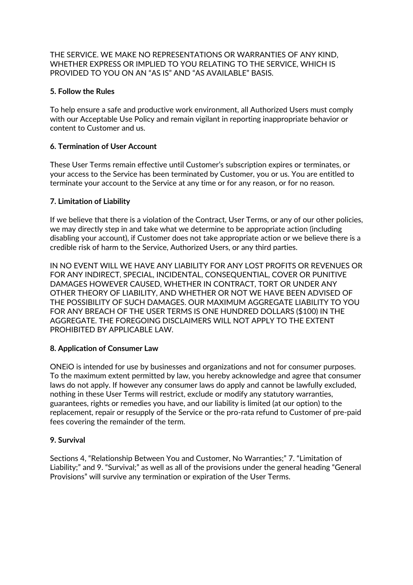THE SERVICE. WE MAKE NO REPRESENTATIONS OR WARRANTIES OF ANY KIND, WHETHER EXPRESS OR IMPLIED TO YOU RELATING TO THE SERVICE, WHICH IS PROVIDED TO YOU ON AN "AS IS" AND "AS AVAILABLE" BASIS.

#### **5. Follow the Rules**

To help ensure a safe and productive work environment, all Authorized Users must comply with our Acceptable Use Policy and remain vigilant in reporting inappropriate behavior or content to Customer and us.

#### **6. Termination of User Account**

These User Terms remain effective until Customer's subscription expires or terminates, or your access to the Service has been terminated by Customer, you or us. You are entitled to terminate your account to the Service at any time or for any reason, or for no reason.

#### **7. Limitation of Liability**

If we believe that there is a violation of the Contract, User Terms, or any of our other policies, we may directly step in and take what we determine to be appropriate action (including disabling your account), if Customer does not take appropriate action or we believe there is a credible risk of harm to the Service, Authorized Users, or any third parties.

IN NO EVENT WILL WE HAVE ANY LIABILITY FOR ANY LOST PROFITS OR REVENUES OR FOR ANY INDIRECT, SPECIAL, INCIDENTAL, CONSEQUENTIAL, COVER OR PUNITIVE DAMAGES HOWEVER CAUSED, WHETHER IN CONTRACT, TORT OR UNDER ANY OTHER THEORY OF LIABILITY, AND WHETHER OR NOT WE HAVE BEEN ADVISED OF THE POSSIBILITY OF SUCH DAMAGES. OUR MAXIMUM AGGREGATE LIABILITY TO YOU FOR ANY BREACH OF THE USER TERMS IS ONE HUNDRED DOLLARS (\$100) IN THE AGGREGATE. THE FOREGOING DISCLAIMERS WILL NOT APPLY TO THE EXTENT PROHIBITED BY APPLICABLE LAW.

#### **8. Application of Consumer Law**

ONEiO is intended for use by businesses and organizations and not for consumer purposes. To the maximum extent permitted by law, you hereby acknowledge and agree that consumer laws do not apply. If however any consumer laws do apply and cannot be lawfully excluded, nothing in these User Terms will restrict, exclude or modify any statutory warranties, guarantees, rights or remedies you have, and our liability is limited (at our option) to the replacement, repair or resupply of the Service or the pro-rata refund to Customer of pre-paid fees covering the remainder of the term.

#### **9. Survival**

Sections 4, "Relationship Between You and Customer, No Warranties;" 7. "Limitation of Liability;" and 9. "Survival;" as well as all of the provisions under the general heading "General Provisions" will survive any termination or expiration of the User Terms.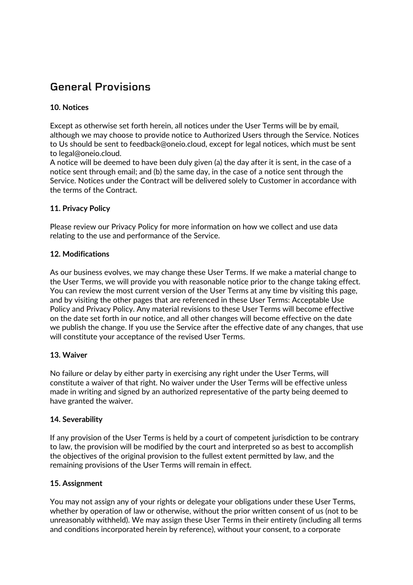# **General Provisions**

#### **10. Notices**

Except as otherwise set forth herein, all notices under the User Terms will be by email, although we may choose to provide notice to Authorized Users through the Service. Notices to Us should be sent to feedback@oneio.cloud, except for legal notices, which must be sent to legal@oneio.cloud.

A notice will be deemed to have been duly given (a) the day after it is sent, in the case of a notice sent through email; and (b) the same day, in the case of a notice sent through the Service. Notices under the Contract will be delivered solely to Customer in accordance with the terms of the Contract.

#### **11. Privacy Policy**

Please review our Privacy Policy for more information on how we collect and use data relating to the use and performance of the Service.

#### **12. Modifications**

As our business evolves, we may change these User Terms. If we make a material change to the User Terms, we will provide you with reasonable notice prior to the change taking effect. You can review the most current version of the User Terms at any time by visiting this page, and by visiting the other pages that are referenced in these User Terms: Acceptable Use Policy and Privacy Policy. Any material revisions to these User Terms will become effective on the date set forth in our notice, and all other changes will become effective on the date we publish the change. If you use the Service after the effective date of any changes, that use will constitute your acceptance of the revised User Terms.

#### **13. Waiver**

No failure or delay by either party in exercising any right under the User Terms, will constitute a waiver of that right. No waiver under the User Terms will be effective unless made in writing and signed by an authorized representative of the party being deemed to have granted the waiver.

#### **14. Severability**

If any provision of the User Terms is held by a court of competent jurisdiction to be contrary to law, the provision will be modified by the court and interpreted so as best to accomplish the objectives of the original provision to the fullest extent permitted by law, and the remaining provisions of the User Terms will remain in effect.

#### **15. Assignment**

You may not assign any of your rights or delegate your obligations under these User Terms, whether by operation of law or otherwise, without the prior written consent of us (not to be unreasonably withheld). We may assign these User Terms in their entirety (including all terms and conditions incorporated herein by reference), without your consent, to a corporate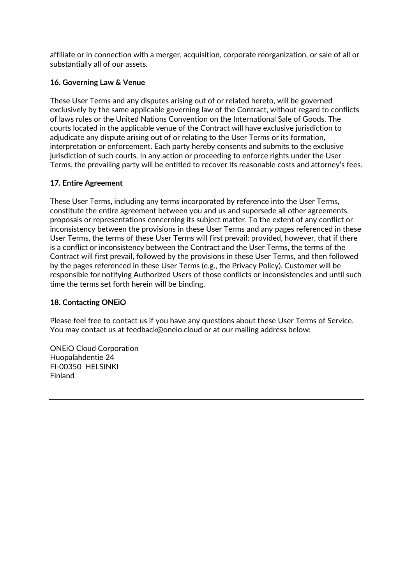affiliate or in connection with a merger, acquisition, corporate reorganization, or sale of all or substantially all of our assets.

#### **16. Governing Law & Venue**

These User Terms and any disputes arising out of or related hereto, will be governed exclusively by the same applicable governing law of the Contract, without regard to conflicts of laws rules or the United Nations Convention on the International Sale of Goods. The courts located in the applicable venue of the Contract will have exclusive jurisdiction to adjudicate any dispute arising out of or relating to the User Terms or its formation, interpretation or enforcement. Each party hereby consents and submits to the exclusive jurisdiction of such courts. In any action or proceeding to enforce rights under the User Terms, the prevailing party will be entitled to recover its reasonable costs and attorney's fees.

#### **17. Entire Agreement**

These User Terms, including any terms incorporated by reference into the User Terms, constitute the entire agreement between you and us and supersede all other agreements, proposals or representations concerning its subject matter. To the extent of any conflict or inconsistency between the provisions in these User Terms and any pages referenced in these User Terms, the terms of these User Terms will first prevail; provided, however, that if there is a conflict or inconsistency between the Contract and the User Terms, the terms of the Contract will first prevail, followed by the provisions in these User Terms, and then followed by the pages referenced in these User Terms (e.g., the Privacy Policy). Customer will be responsible for notifying Authorized Users of those conflicts or inconsistencies and until such time the terms set forth herein will be binding.

#### **18. Contacting ONEiO**

Please feel free to contact us if you have any questions about these User Terms of Service. You may contact us at feedback@oneio.cloud or at our mailing address below:

ONEiO Cloud Corporation Huopalahdentie 24 FI-00350 HELSINKI Finland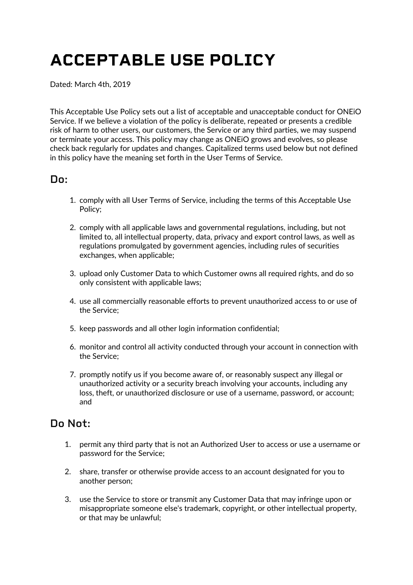# **ACCEPTABLE USE POLICY**

Dated: March 4th, 2019

This Acceptable Use Policy sets out a list of acceptable and unacceptable conduct for ONEiO Service. If we believe a violation of the policy is deliberate, repeated or presents a credible risk of harm to other users, our customers, the Service or any third parties, we may suspend or terminate your access. This policy may change as ONEiO grows and evolves, so please check back regularly for updates and changes. Capitalized terms used below but not defined in this policy have the meaning set forth in the User Terms of Service.

### **Do:**

- 1. comply with all User Terms of Service, including the terms of this Acceptable Use Policy;
- 2. comply with all applicable laws and governmental regulations, including, but not limited to, all intellectual property, data, privacy and export control laws, as well as regulations promulgated by government agencies, including rules of securities exchanges, when applicable;
- 3. upload only Customer Data to which Customer owns all required rights, and do so only consistent with applicable laws;
- 4. use all commercially reasonable efforts to prevent unauthorized access to or use of the Service;
- 5. keep passwords and all other login information confidential;
- 6. monitor and control all activity conducted through your account in connection with the Service;
- 7. promptly notify us if you become aware of, or reasonably suspect any illegal or unauthorized activity or a security breach involving your accounts, including any loss, theft, or unauthorized disclosure or use of a username, password, or account; and

## **Do Not:**

- 1. permit any third party that is not an Authorized User to access or use a username or password for the Service;
- 2. share, transfer or otherwise provide access to an account designated for you to another person;
- 3. use the Service to store or transmit any Customer Data that may infringe upon or misappropriate someone else's trademark, copyright, or other intellectual property, or that may be unlawful;